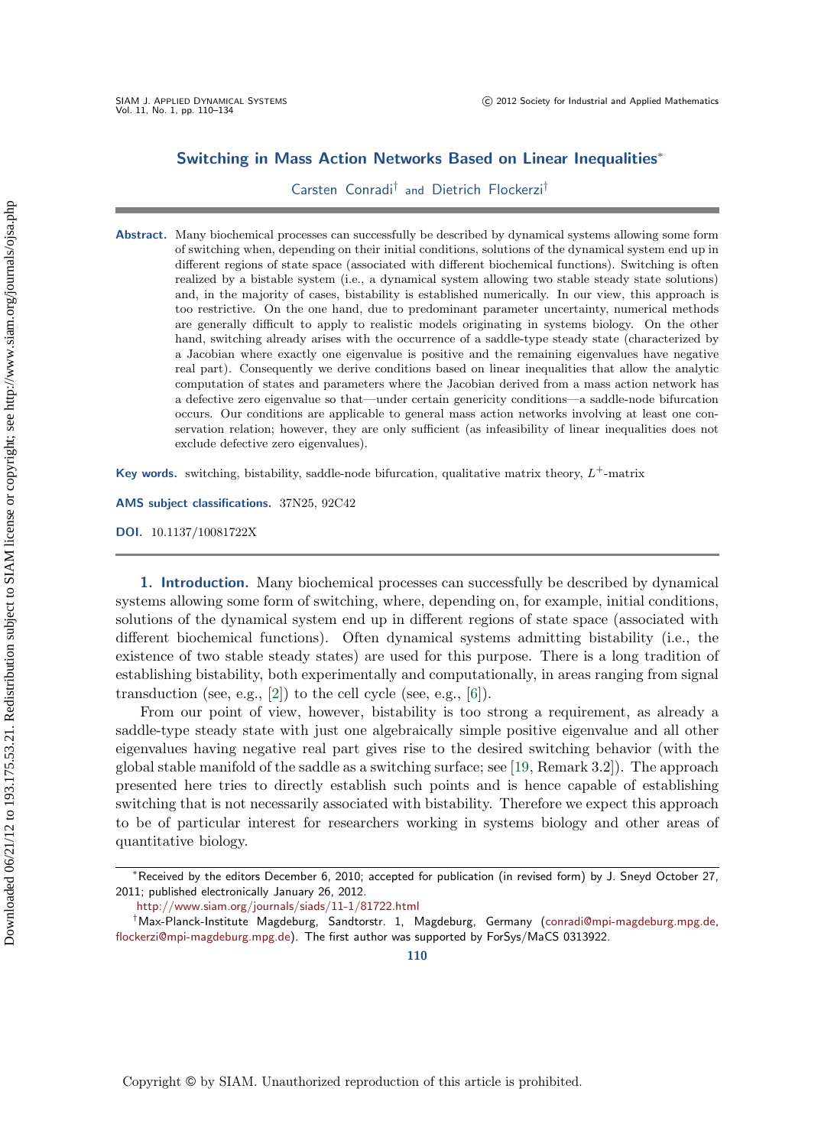### **Switching in Mass Action Networks Based on Linear Inequalities**<sup>∗</sup>

Carsten Conradi† and Dietrich Flockerzi†

**Abstract.** Many biochemical processes can successfully be described by dynamical systems allowing some form of switching when, depending on their initial conditions, solutions of the dynamical system end up in different regions of state space (associated with different biochemical functions). Switching is often realized by a bistable system (i.e., a dynamical system allowing two stable steady state solutions) and, in the majority of cases, bistability is established numerically. In our view, this approach is too restrictive. On the one hand, due to predominant parameter uncertainty, numerical methods are generally difficult to apply to realistic models originating in systems biology. On the other hand, switching already arises with the occurrence of a saddle-type steady state (characterized by a Jacobian where exactly one eigenvalue is positive and the remaining eigenvalues have negative real part). Consequently we derive conditions based on linear inequalities that allow the analytic computation of states and parameters where the Jacobian derived from a mass action network has a defective zero eigenvalue so that—under certain genericity conditions—a saddle-node bifurcation occurs. Our conditions are applicable to general mass action networks involving at least one conservation relation; however, they are only sufficient (as infeasibility of linear inequalities does not exclude defective zero eigenvalues).

**Key words.** switching, bistability, saddle-node bifurcation, qualitative matrix theory,  $L^+$ -matrix

**AMS subject classifications.** 37N25, 92C42

**DOI.** 10.1137/10081722X

**1. Introduction.** Many biochemical processes can successfully be described by dynamical systems allowing some form of switching, where, depending on, for example, initial conditions, solutions of the dynamical system end up in different regions of state space (associated with different biochemical functions). Often dynamical systems admitting bistability (i.e., the existence of two stable steady states) are used for this purpose. There is a long tradition of establishing bistability, both experimentally and computationally, in areas ranging from signal transduction (see, e.g.,  $[2]$ ) to the cell cycle (see, e.g.,  $[6]$ ).

From our point of view, however, bistability is too strong a requirement, as already a saddle-type steady state with just one algebraically simple positive eigenvalue and all other eigenvalues having negative real part gives rise to the desired switching behavior (with the global stable manifold of the saddle as a switching surface; see [\[19,](#page-24-0) Remark 3.2]). The approach presented here tries to directly establish such points and is hence capable of establishing switching that is not necessarily associated with bistability. Therefore we expect this approach to be of particular interest for researchers working in systems biology and other areas of quantitative biology.

**110**

<sup>∗</sup>Received by the editors December 6, 2010; accepted for publication (in revised form) by J. Sneyd October 27, 2011; published electronically January 26, 2012.

<http://www.siam.org/journals/siads/11-1/81722.html>

<sup>†</sup>Max-Planck-Institute Magdeburg, Sandtorstr. 1, Magdeburg, Germany [\(conradi@mpi-magdeburg.mpg.de,](mailto:conradi@mpi-magdeburg.mpg.de) [flockerzi@mpi-magdeburg.mpg.de\)](mailto:flockerzi@mpi-magdeburg.mpg.de). The first author was supported by ForSys/MaCS 0313922.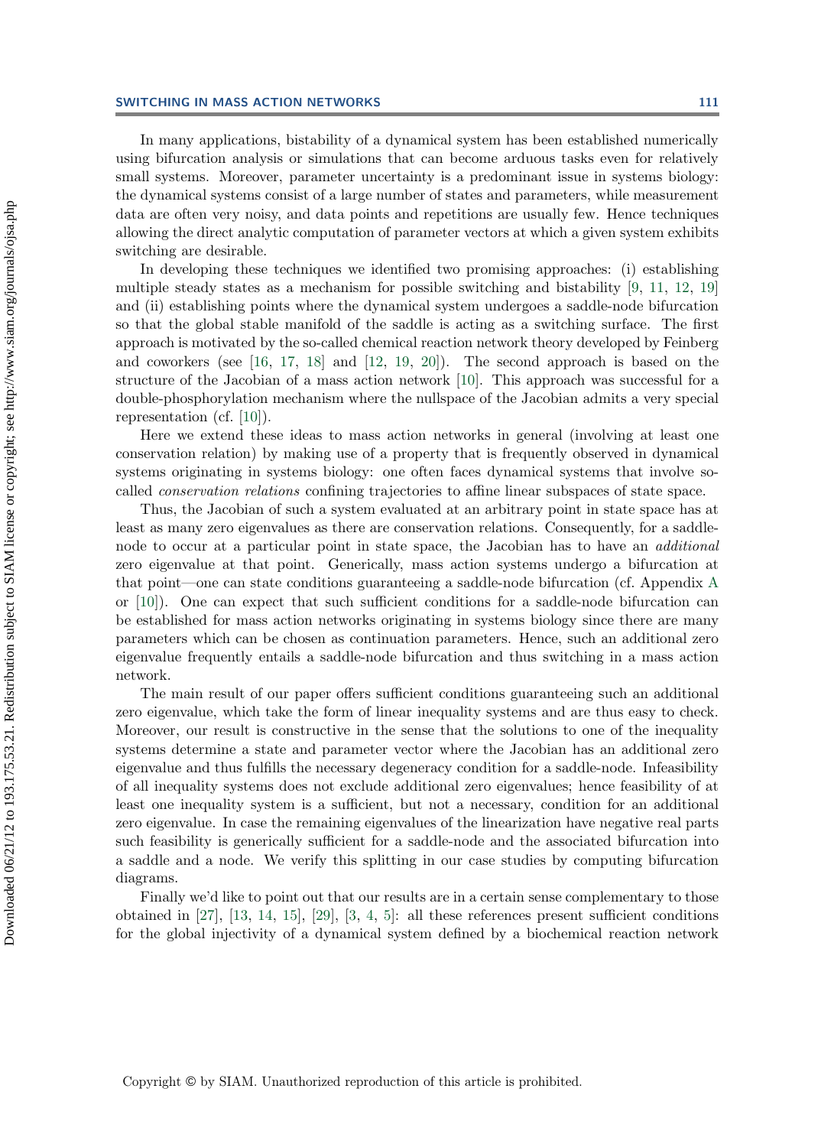#### **SWITCHING IN MASS ACTION NETWORKS 111**

In many applications, bistability of a dynamical system has been established numerically using bifurcation analysis or simulations that can become arduous tasks even for relatively small systems. Moreover, parameter uncertainty is a predominant issue in systems biology: the dynamical systems consist of a large number of states and parameters, while measurement data are often very noisy, and data points and repetitions are usually few. Hence techniques allowing the direct analytic computation of parameter vectors at which a given system exhibits switching are desirable.

In developing these techniques we identified two promising approaches: (i) establishing multiple steady states as a mechanism for possible switching and bistability [\[9,](#page-24-1) [11,](#page-24-2) [12,](#page-24-3) [19\]](#page-24-0) and (ii) establishing points where the dynamical system undergoes a saddle-node bifurcation so that the global stable manifold of the saddle is acting as a switching surface. The first approach is motivated by the so-called chemical reaction network theory developed by Feinberg and coworkers (see [\[16,](#page-24-4) [17,](#page-24-5) [18\]](#page-24-6) and [\[12,](#page-24-3) [19,](#page-24-0) [20\]](#page-24-7)). The second approach is based on the structure of the Jacobian of a mass action network [\[10\]](#page-24-8). This approach was successful for a double-phosphorylation mechanism where the nullspace of the Jacobian admits a very special representation (cf. [\[10\]](#page-24-8)).

Here we extend these ideas to mass action networks in general (involving at least one conservation relation) by making use of a property that is frequently observed in dynamical systems originating in systems biology: one often faces dynamical systems that involve socalled *conservation relations* confining trajectories to affine linear subspaces of state space.

Thus, the Jacobian of such a system evaluated at an arbitrary point in state space has at least as many zero eigenvalues as there are conservation relations. Consequently, for a saddlenode to occur at a particular point in state space, the Jacobian has to have an *additional* zero eigenvalue at that point. Generically, mass action systems undergo a bifurcation at that point—one can state conditions guaranteeing a saddle-node bifurcation (cf. Appendix [A](#page-19-0) or [\[10\]](#page-24-8)). One can expect that such sufficient conditions for a saddle-node bifurcation can be established for mass action networks originating in systems biology since there are many parameters which can be chosen as continuation parameters. Hence, such an additional zero eigenvalue frequently entails a saddle-node bifurcation and thus switching in a mass action network.

The main result of our paper offers sufficient conditions guaranteeing such an additional zero eigenvalue, which take the form of linear inequality systems and are thus easy to check. Moreover, our result is constructive in the sense that the solutions to one of the inequality systems determine a state and parameter vector where the Jacobian has an additional zero eigenvalue and thus fulfills the necessary degeneracy condition for a saddle-node. Infeasibility of all inequality systems does not exclude additional zero eigenvalues; hence feasibility of at least one inequality system is a sufficient, but not a necessary, condition for an additional zero eigenvalue. In case the remaining eigenvalues of the linearization have negative real parts such feasibility is generically sufficient for a saddle-node and the associated bifurcation into a saddle and a node. We verify this splitting in our case studies by computing bifurcation diagrams.

Finally we'd like to point out that our results are in a certain sense complementary to those obtained in [\[27\]](#page-24-9), [\[13,](#page-24-10) [14,](#page-24-11) [15\]](#page-24-12), [\[29\]](#page-24-13), [\[3,](#page-23-2) [4,](#page-23-3) [5\]](#page-23-4): all these references present sufficient conditions for the global injectivity of a dynamical system defined by a biochemical reaction network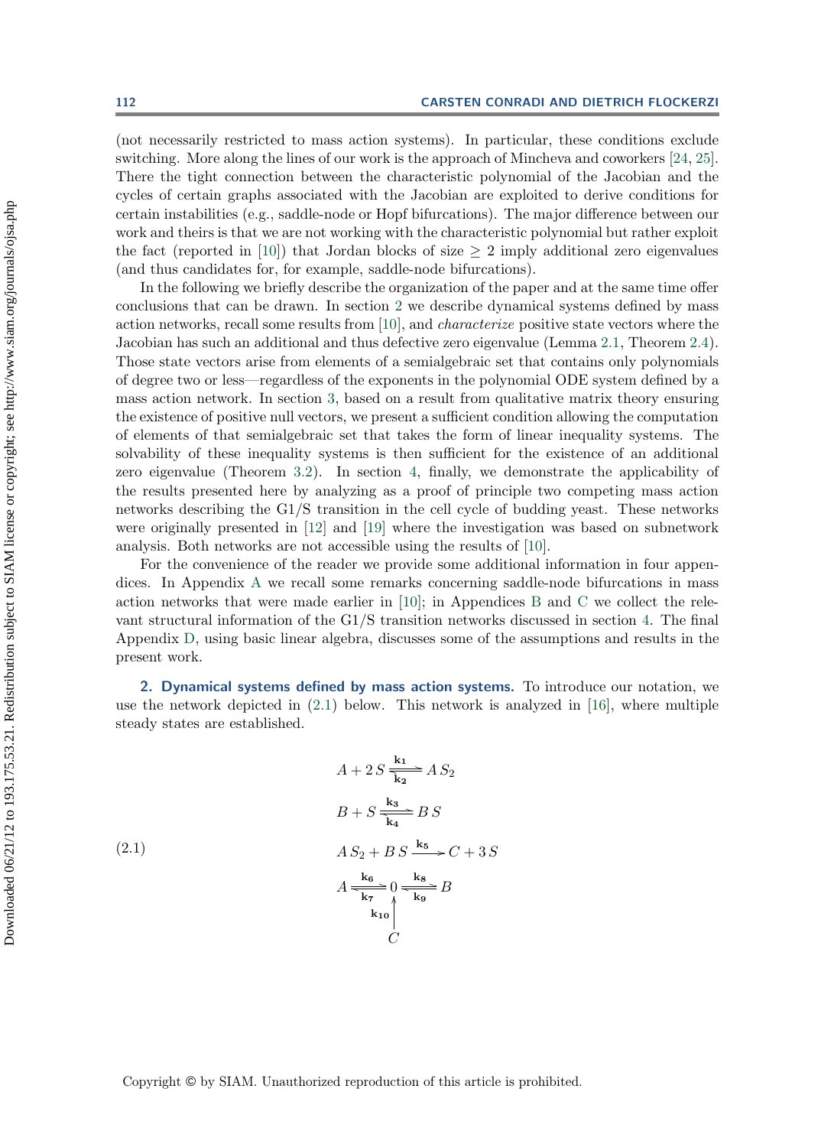(not necessarily restricted to mass action systems). In particular, these conditions exclude switching. More along the lines of our work is the approach of Mincheva and coworkers [\[24,](#page-24-14) [25\]](#page-24-15). There the tight connection between the characteristic polynomial of the Jacobian and the cycles of certain graphs associated with the Jacobian are exploited to derive conditions for certain instabilities (e.g., saddle-node or Hopf bifurcations). The major difference between our work and theirs is that we are not working with the characteristic polynomial but rather exploit the fact (reported in [\[10\]](#page-24-8)) that Jordan blocks of size  $\geq 2$  imply additional zero eigenvalues (and thus candidates for, for example, saddle-node bifurcations).

In the following we briefly describe the organization of the paper and at the same time offer conclusions that can be drawn. In section [2](#page-2-0) we describe dynamical systems defined by mass action networks, recall some results from [\[10\]](#page-24-8), and *characterize* positive state vectors where the Jacobian has such an additional and thus defective zero eigenvalue (Lemma [2.1,](#page-7-0) Theorem [2.4\)](#page-8-0). Those state vectors arise from elements of a semialgebraic set that contains only polynomials of degree two or less—regardless of the exponents in the polynomial ODE system defined by a mass action network. In section [3,](#page-9-0) based on a result from qualitative matrix theory ensuring the existence of positive null vectors, we present a sufficient condition allowing the computation of elements of that semialgebraic set that takes the form of linear inequality systems. The solvability of these inequality systems is then sufficient for the existence of an additional zero eigenvalue (Theorem [3.2\)](#page-13-0). In section [4,](#page-14-0) finally, we demonstrate the applicability of the results presented here by analyzing as a proof of principle two competing mass action networks describing the G1/S transition in the cell cycle of budding yeast. These networks were originally presented in [\[12\]](#page-24-3) and [\[19\]](#page-24-0) where the investigation was based on subnetwork analysis. Both networks are not accessible using the results of [\[10\]](#page-24-8).

For the convenience of the reader we provide some additional information in four appendices. In Appendix [A](#page-19-0) we recall some remarks concerning saddle-node bifurcations in mass action networks that were made earlier in [\[10\]](#page-24-8); in Appendices [B](#page-19-1) and [C](#page-21-0) we collect the relevant structural information of the G1/S transition networks discussed in section [4.](#page-14-0) The final Appendix [D,](#page-22-0) using basic linear algebra, discusses some of the assumptions and results in the present work.

<span id="page-2-0"></span>**2. Dynamical systems defined by mass action systems.** To introduce our notation, we use the network depicted in [\(2.1\)](#page-2-1) below. This network is analyzed in [\[16\]](#page-24-4), where multiple steady states are established.

<span id="page-2-1"></span>
$$
A + 2S \frac{\mathbf{k_1}}{\mathbf{k_2}} A S_2
$$
  

$$
B + S \frac{\mathbf{k_3}}{\mathbf{k_4}} B S
$$
  

$$
A S_2 + B S \frac{\mathbf{k_5}}{\mathbf{k_6}} C + 3S
$$
  

$$
A \frac{\mathbf{k_6}}{\mathbf{k_7}} 0 \frac{\mathbf{k_8}}{\mathbf{k_9}} B
$$
  

$$
\mathbf{k_1} 0
$$
  

$$
C
$$

(2.1)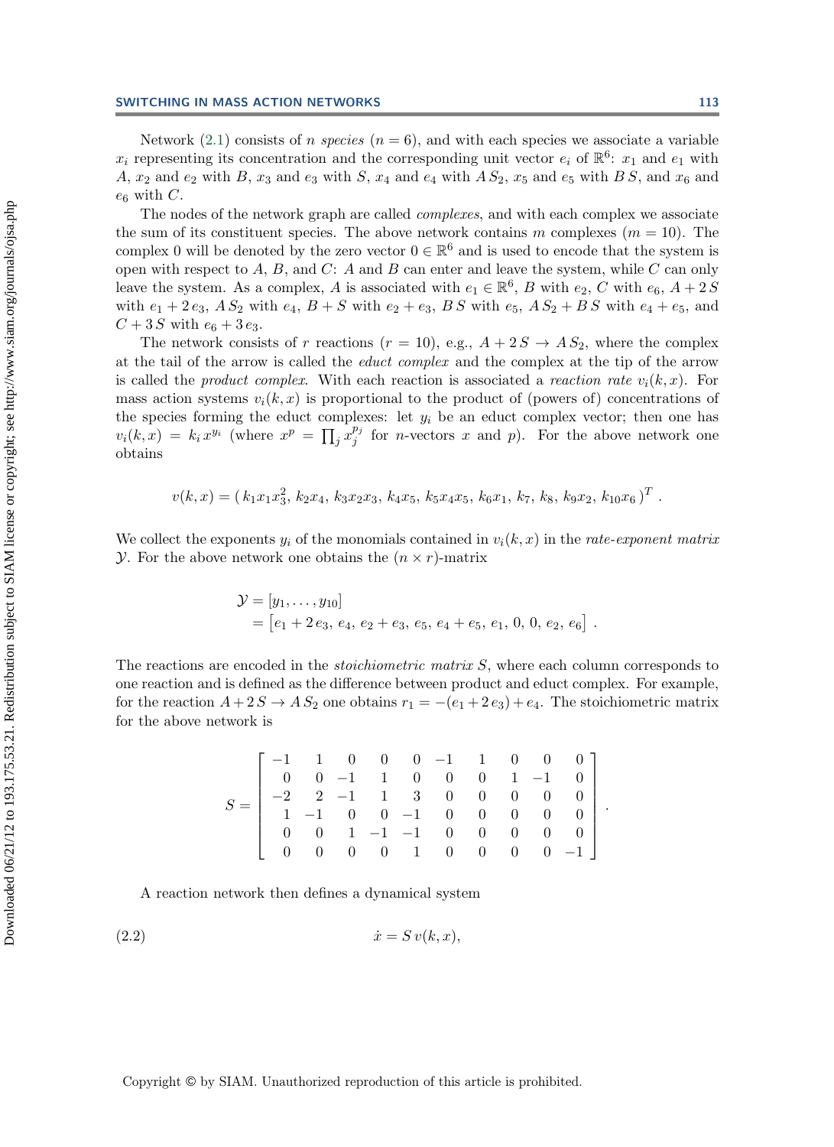Network  $(2.1)$  consists of *n species*  $(n = 6)$ , and with each species we associate a variable  $x_i$  representing its concentration and the corresponding unit vector  $e_i$  of  $\mathbb{R}^6$ :  $x_1$  and  $e_1$  with A,  $x_2$  and  $e_2$  with B,  $x_3$  and  $e_3$  with S,  $x_4$  and  $e_4$  with A  $S_2$ ,  $x_5$  and  $e_5$  with B S, and  $x_6$  and  $e_6$  with C.

The nodes of the network graph are called *complexes*, and with each complex we associate the sum of its constituent species. The above network contains m complexes  $(m = 10)$ . The complex 0 will be denoted by the zero vector  $0 \in \mathbb{R}^6$  and is used to encode that the system is open with respect to A, B, and C: A and B can enter and leave the system, while C can only<br>leave the system. As a complex A is associated with  $e \in \mathbb{R}^6$ , B with  $e_2 \subset \mathbb{R}^6$ leave the system. As a complex, A is associated with  $e_1 \in \mathbb{R}^6$ , B with  $e_2$ , C with  $e_6$ ,  $A + 2S$ <br>with  $e_4 + 2e_2$ , A S<sub>o</sub> with  $e_4$ , B + S with  $e_5 + e_6$ , B S with  $e_5$ , A S<sub>o</sub> + B S with  $e_4$  +  $e_5$  and with  $e_1 + 2 e_3$ ,  $A S_2$  with  $e_4$ ,  $B + S$  with  $e_2 + e_3$ ,  $B S$  with  $e_5$ ,  $A S_2 + B S$  with  $e_4 + e_5$ , and  $C + 3S$  with  $e_6 + 3e_3$ .

The network consists of r reactions  $(r = 10)$ , e.g.,  $A + 2S \rightarrow AS_2$ , where the complex at the tail of the arrow is called the *educt complex* and the complex at the tip of the arrow is called the *product complex*. With each reaction is associated a *reaction rate*  $v_i(k, x)$ . For mass action systems  $v_i(k, x)$  is proportional to the product of (powers of) concentrations of the species forming the educt complexes: let  $y_i$  be an educt complex vector; then one has  $v_i(k, x) = k_i x^{y_i}$  (where  $x^p = \prod$  $\int$  $p_j$  for *n*-vectors x and p). For the above network one obtains

$$
v(k,x) = (k_1x_1x_3^2, k_2x_4, k_3x_2x_3, k_4x_5, k_5x_4x_5, k_6x_1, k_7, k_8, k_9x_2, k_{10}x_6)^T.
$$

We collect the exponents  $y_i$  of the monomials contained in  $v_i(k, x)$  in the *rate-exponent matrix*  $\mathcal Y$ . For the above network one obtains the  $(n \times r)$ -matrix

$$
\mathcal{Y} = [y_1, \dots, y_{10}]
$$
  
=  $[e_1 + 2e_3, e_4, e_2 + e_3, e_5, e_4 + e_5, e_1, 0, 0, e_2, e_6]$ .

The reactions are encoded in the *stoichiometric matrix* S, where each column corresponds to one reaction and is defined as the difference between product and educt complex. For example, for the reaction  $A + 2S \rightarrow AS_2$  one obtains  $r_1 = -(e_1 + 2e_3) + e_4$ . The stoichiometric matrix for the above network is

<span id="page-3-0"></span>
$$
S = \left[\begin{array}{rrrrrrrrrr} -1 & 1 & 0 & 0 & 0 & -1 & 1 & 0 & 0 & 0 \\ 0 & 0 & -1 & 1 & 0 & 0 & 0 & 1 & -1 & 0 \\ -2 & 2 & -1 & 1 & 3 & 0 & 0 & 0 & 0 & 0 \\ 1 & -1 & 0 & 0 & -1 & 0 & 0 & 0 & 0 & 0 \\ 0 & 0 & 1 & -1 & -1 & 0 & 0 & 0 & 0 & 0 \\ 0 & 0 & 0 & 0 & 1 & 0 & 0 & 0 & 0 & -1 \end{array}\right].
$$

A reaction network then defines a dynamical system

$$
(2.2) \t\t\t \dot{x} = S \, v(k, x),
$$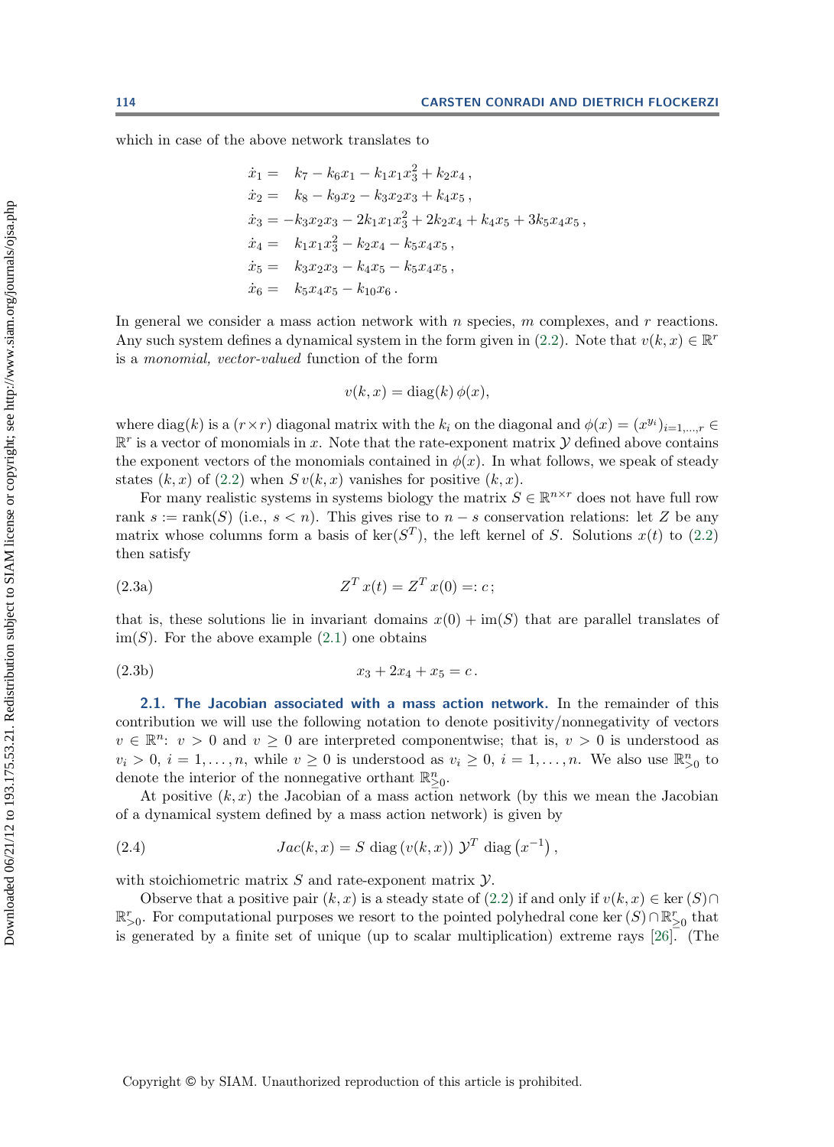which in case of the above network translates to

$$
\begin{aligned}\n\dot{x}_1 &= k_7 - k_6 x_1 - k_1 x_1 x_3^2 + k_2 x_4 \,, \\
\dot{x}_2 &= k_8 - k_9 x_2 - k_3 x_2 x_3 + k_4 x_5 \,, \\
\dot{x}_3 &= -k_3 x_2 x_3 - 2k_1 x_1 x_3^2 + 2k_2 x_4 + k_4 x_5 + 3k_5 x_4 x_5 \,, \\
\dot{x}_4 &= k_1 x_1 x_3^2 - k_2 x_4 - k_5 x_4 x_5 \,, \\
\dot{x}_5 &= k_3 x_2 x_3 - k_4 x_5 - k_5 x_4 x_5 \,, \\
\dot{x}_6 &= k_5 x_4 x_5 - k_{10} x_6 \,. \n\end{aligned}
$$

In general we consider a mass action network with  $n$  species,  $m$  complexes, and  $r$  reactions. Any such system defines a dynamical system in the form given in [\(2.2\)](#page-3-0). Note that  $v(k, x) \in \mathbb{R}^r$ is a *monomial, vector-valued* function of the form

$$
v(k, x) = \text{diag}(k) \, \phi(x),
$$

where diag(k) is a  $(r \times r)$  diagonal matrix with the  $k_i$  on the diagonal and  $\phi(x)=(x^{y_i})_{i=1,\dots,r} \in$  $\mathbb{R}^r$  is a vector of monomials in x. Note that the rate-exponent matrix  $\mathcal Y$  defined above contains the exponent vectors of the monomials contained in  $\phi(x)$ . In what follows, we speak of steady states  $(k, x)$  of  $(2.2)$  when  $S v(k, x)$  vanishes for positive  $(k, x)$ .

For many realistic systems in systems biology the matrix  $S \in \mathbb{R}^{n \times r}$  does not have full row rank s := rank(S) (i.e.,  $s < n$ ). This gives rise to  $n - s$  conservation relations: let Z be any matrix whose columns form a basis of ker( $S<sup>T</sup>$ ), the left kernel of S. Solutions  $x(t)$  to [\(2.2\)](#page-3-0) then satisfy

<span id="page-4-1"></span>(2.3a) 
$$
Z^T x(t) = Z^T x(0) =: c;
$$

that is, these solutions lie in invariant domains  $x(0) + im(S)$  that are parallel translates of  $\text{im}(S)$ . For the above example  $(2.1)$  one obtains

(2.3b) 
$$
x_3 + 2x_4 + x_5 = c.
$$

**2.1. The Jacobian associated with a mass action network.** In the remainder of this contribution we will use the following notation to denote positivity/nonnegativity of vectors  $v \in \mathbb{R}^n$ :  $v > 0$  and  $v \ge 0$  are interpreted componentwise; that is,  $v > 0$  is understood as  $v_i > 0$ ,  $i = 1, ..., n$ , while  $v \ge 0$  is understood as  $v_i \ge 0$ ,  $i = 1, ..., n$ . We also use  $\mathbb{R}^n_{>0}$  to denote the interior of the nonnegative orthant  $\mathbb{R}^n$ denote the interior of the nonnegative orthant  $\mathbb{R}^n_{\geq 0}$ .

At positive  $(k, x)$  the Jacobian of a mass action network (by this we mean the Jacobian of a dynamical system defined by a mass action network) is given by

<span id="page-4-0"></span>(2.4) 
$$
Jac(k, x) = S \operatorname{diag}(v(k, x)) \mathcal{Y}^T \operatorname{diag}(x^{-1}),
$$

with stoichiometric matrix  $S$  and rate-exponent matrix  $Y$ .

Observe that a positive pair  $(k, x)$  is a steady state of  $(2.2)$  if and only if  $v(k, x) \in \text{ker}(S) \cap$  $\mathbb{R}_{\geq 0}^r$ . For computational purposes we resort to the pointed polyhedral cone ker  $(S) \cap \mathbb{R}_{\geq 0}^r$  that is generated by a finite set of unique (up to scalar multiplication) extreme rays [26] (The is generated by a finite set of unique (up to scalar multiplication) extreme rays [\[26\]](#page-24-16). (The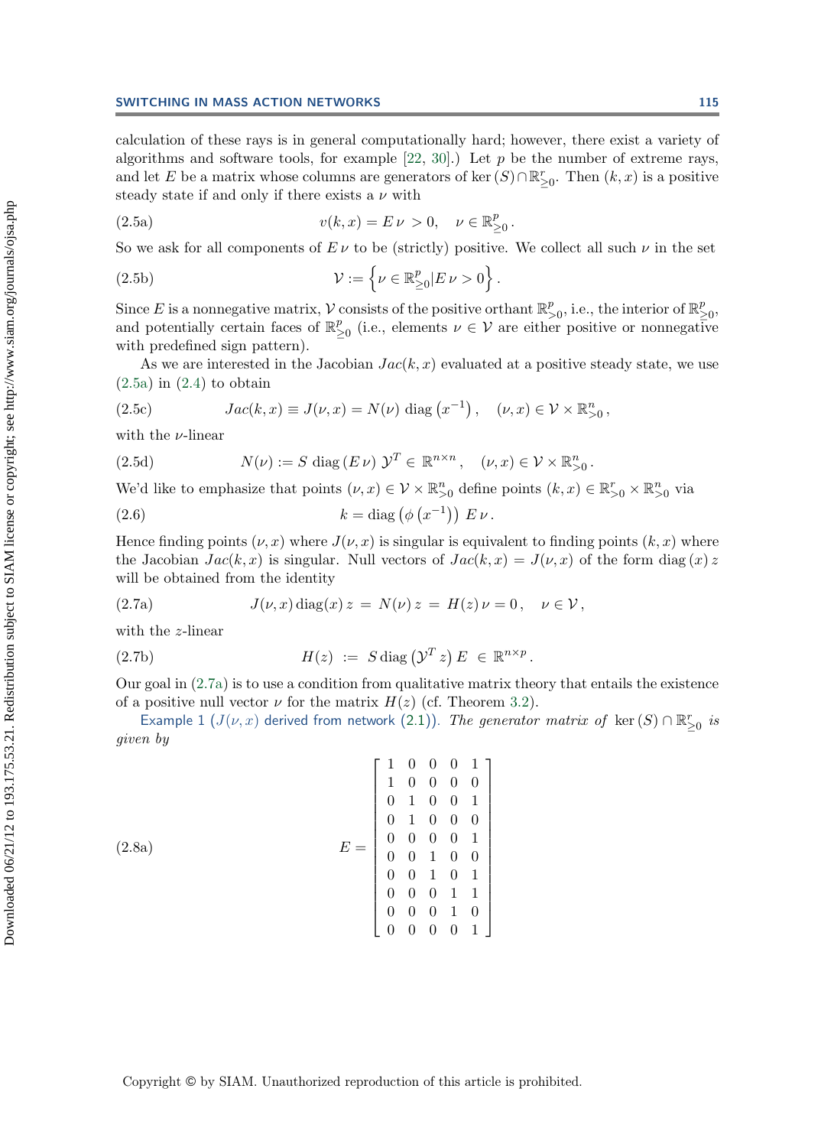calculation of these rays is in general computationally hard; however, there exist a variety of algorithms and software tools, for example  $[22, 30]$  $[22, 30]$  $[22, 30]$ .) Let p be the number of extreme rays, and let E be a matrix whose columns are generators of ker  $(S) \cap \mathbb{R}_{\geq 0}^r$ . Then  $(k, x)$  is a positive standard state if and only if there exists a *u* with steady state if and only if there exists a  $\nu$  with

<span id="page-5-0"></span>(2.5a) 
$$
v(k, x) = E \nu > 0, \quad \nu \in \mathbb{R}_{\geq 0}^p.
$$

So we ask for all components of  $E \nu$  to be (strictly) positive. We collect all such  $\nu$  in the set

(2.5b) 
$$
\mathcal{V} := \left\{ \nu \in \mathbb{R}^p_{\geq 0} | E \nu > 0 \right\}.
$$

Since E is a nonnegative matrix, V consists of the positive orthant  $\mathbb{R}_{\geq 0}^p$ , i.e., the interior of  $\mathbb{R}_{\geq 0}^p$ , and potentially certain faces of  $\mathbb{R}^p$ , (i.e., elements  $y \in \mathcal{Y}$  are either positive or and potentially certain faces of  $\mathbb{R}^p_{\geq 0}$  (i.e., elements  $\nu \in \mathcal{V}$  are either positive or nonnegative<br>with predefined sign pattern) with predefined sign pattern).

As we are interested in the Jacobian  $Jac(k, x)$  evaluated at a positive steady state, we use  $(2.5a)$  in  $(2.4)$  to obtain

(2.5c) 
$$
Jac(k, x) \equiv J(\nu, x) = N(\nu) \text{ diag}(x^{-1}), \quad (\nu, x) \in \mathcal{V} \times \mathbb{R}_{>0}^n,
$$

with the  $\nu$ -linear

(2.5d) 
$$
N(\nu) := S \operatorname{diag}(E \nu) \mathcal{Y}^T \in \mathbb{R}^{n \times n}, \quad (\nu, x) \in \mathcal{V} \times \mathbb{R}^n_{>0}.
$$

<span id="page-5-2"></span>We'd like to emphasize that points  $(\nu, x) \in \mathcal{V} \times \mathbb{R}_{>0}^n$  define points  $(k, x) \in \mathbb{R}_{>0}^r \times \mathbb{R}_{>0}^n$  via

(2.6) 
$$
k = \text{diag}(\phi(x^{-1})) E \nu.
$$

Hence finding points  $(\nu, x)$  where  $J(\nu, x)$  is singular is equivalent to finding points  $(k, x)$  where the Jacobian  $Jac(k, x)$  is singular. Null vectors of  $Jac(k, x) = J(\nu, x)$  of the form diag  $(x)$  z will be obtained from the identity

<span id="page-5-1"></span>(2.7a) 
$$
J(\nu, x) \operatorname{diag}(x) z = N(\nu) z = H(z) \nu = 0, \quad \nu \in \mathcal{V},
$$

with the z-linear

(2.7b) 
$$
H(z) := S \operatorname{diag} (\mathcal{Y}^T z) E \in \mathbb{R}^{n \times p}.
$$

Our goal in [\(2.7a\)](#page-5-1) is to use a condition from qualitative matrix theory that entails the existence of a positive null vector  $\nu$  for the matrix  $H(z)$  (cf. Theorem [3.2\)](#page-13-0).

<span id="page-5-3"></span>Example 1 ( $J(\nu, x)$  derived from network [\(2.1\)](#page-2-1)). *The generator matrix of* ker  $(S) \cap \mathbb{R}_{\geq 0}^r$  *is*<br>reader *given by*

$$
(2.8a)
$$
\n
$$
E = \begin{bmatrix}\n1 & 0 & 0 & 0 & 1 \\
1 & 0 & 0 & 0 & 0 \\
0 & 1 & 0 & 0 & 1 \\
0 & 1 & 0 & 0 & 0 \\
0 & 0 & 0 & 0 & 1 \\
0 & 0 & 1 & 0 & 0 \\
0 & 0 & 1 & 0 & 1 \\
0 & 0 & 0 & 1 & 1 \\
0 & 0 & 0 & 0 & 1\n\end{bmatrix}
$$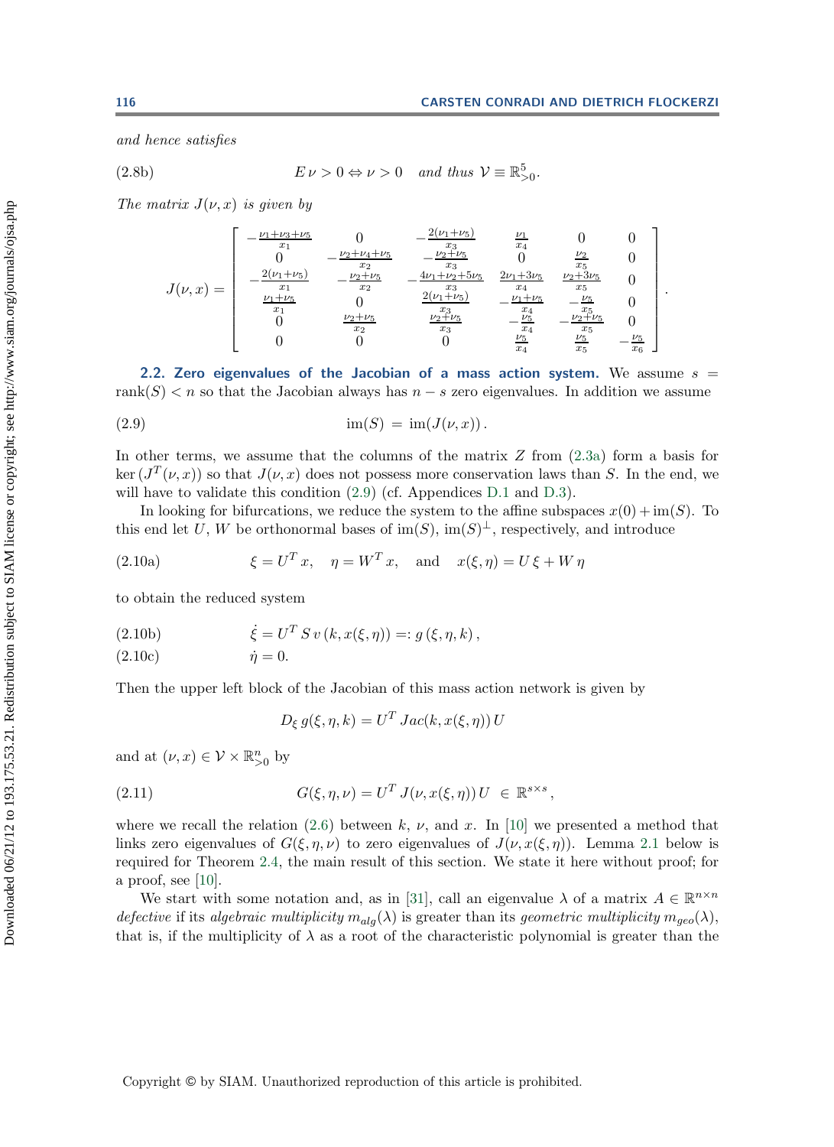*and hence satisfies*

(2.8b) 
$$
E \nu > 0 \Leftrightarrow \nu > 0
$$
 and thus  $V \equiv \mathbb{R}_{>0}^5$ .

*The matrix*  $J(\nu, x)$  *is given by* 

$$
J(\nu,x) = \begin{bmatrix} -\frac{\nu_1 + \nu_3 + \nu_5}{x_1} & 0 & -\frac{2(\nu_1 + \nu_5)}{x_3} & \frac{\nu_1}{x_4} & 0 & 0\\ 0 & -\frac{\nu_2 + \nu_4 + \nu_5}{x_2} & -\frac{\nu_2 + \nu_5}{x_3} & 0 & \frac{\nu_2}{x_5} & 0\\ -\frac{2(\nu_1 + \nu_5)}{x_1} & -\frac{\nu_2 + \nu_5}{x_2} & -\frac{4\nu_1 + \nu_2 + 5\nu_5}{x_3} & \frac{2\nu_1 + 3\nu_5}{x_4} & \frac{\nu_2 + 3\nu_5}{x_5} & 0\\ \frac{\nu_1 + \nu_5}{x_1} & 0 & \frac{2(\nu_1 + \nu_5)}{x_3} & -\frac{\nu_1 + \nu_5}{x_4} & -\frac{\nu_5}{x_5} & 0\\ 0 & \frac{\nu_2 + \nu_5}{x_2} & \frac{\nu_2 + \nu_5}{x_3} & -\frac{\nu_5}{x_4} & -\frac{\nu_2 + \nu_5}{x_5} & \frac{\nu_5}{x_5} & -\frac{\nu_5}{x_6} \end{bmatrix}.
$$

**2.2. Zero eigenvalues of the Jacobian of a mass action system.** We assume  $s =$ rank(S)  $\lt n$  so that the Jacobian always has  $n - s$  zero eigenvalues. In addition we assume

$$
(2.9) \quad \lim(S) = \text{im}(J(\nu, x)).
$$

In other terms, we assume that the columns of the matrix  $Z$  from  $(2.3a)$  form a basis for ker  $(J<sup>T</sup>(\nu, x))$  so that  $J(\nu, x)$  does not possess more conservation laws than S. In the end, we will have to validate this condition  $(2.9)$  (cf. Appendices [D.1](#page-22-1) and [D.3\)](#page-23-5).

In looking for bifurcations, we reduce the system to the affine subspaces  $x(0) + im(S)$ . To this end let U, W be orthonormal bases of  $\text{im}(S)$ ,  $\text{im}(S)^{\perp}$ , respectively, and introduce

(2.10a) 
$$
\xi = U^T x, \quad \eta = W^T x, \text{ and } x(\xi, \eta) = U \xi + W \eta
$$

to obtain the reduced system

(2.10b) 
$$
\dot{\xi} = U^T S v (k, x(\xi, \eta)) =: g(\xi, \eta, k),
$$
  
(2.10c) 
$$
\dot{\eta} = 0.
$$

$$
(2.10c) \qquad \qquad \dot{\eta} = 0.
$$

Then the upper left block of the Jacobian of this mass action network is given by

<span id="page-6-2"></span><span id="page-6-0"></span>
$$
D_{\xi} g(\xi, \eta, k) = U^T Jac(k, x(\xi, \eta)) U
$$

and at  $(\nu, x) \in \mathcal{V} \times \mathbb{R}_{>0}^n$  by

<span id="page-6-1"></span>(2.11) 
$$
G(\xi, \eta, \nu) = U^T J(\nu, x(\xi, \eta)) U \in \mathbb{R}^{s \times s},
$$

where we recall the relation [\(2.6\)](#page-5-2) between k,  $\nu$ , and x. In [\[10\]](#page-24-8) we presented a method that links zero eigenvalues of  $G(\xi, \eta, \nu)$  to zero eigenvalues of  $J(\nu, x(\xi, \eta))$ . Lemma [2.1](#page-7-0) below is required for Theorem [2.4,](#page-8-0) the main result of this section. We state it here without proof; for a proof, see [\[10\]](#page-24-8).

We start with some notation and, as in [\[31\]](#page-24-19), call an eigenvalue  $\lambda$  of a matrix  $A \in \mathbb{R}^{n \times n}$ *defective* if its *algebraic multiplicity*  $m_{alg}(\lambda)$  is greater than its *geometric multiplicity*  $m_{geo}(\lambda)$ , that is, if the multiplicity of  $\lambda$  as a root of the characteristic polynomial is greater than the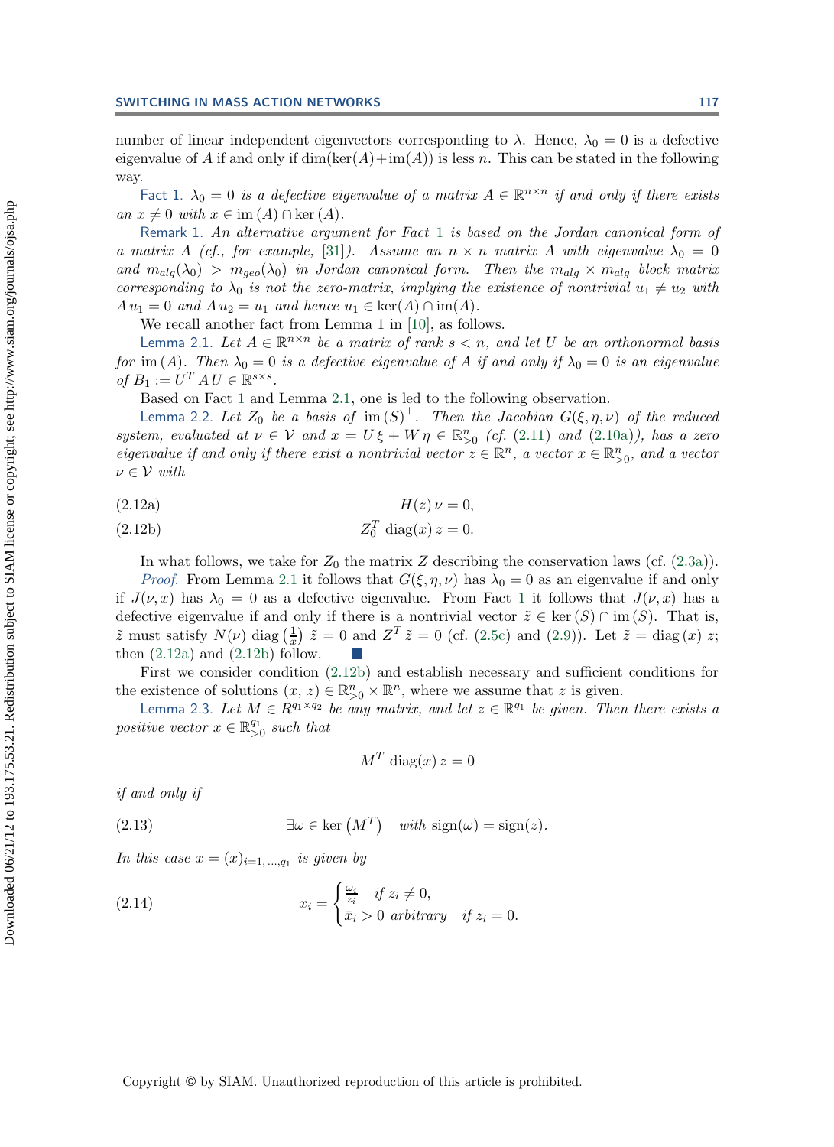number of linear independent eigenvectors corresponding to  $\lambda$ . Hence,  $\lambda_0 = 0$  is a defective eigenvalue of A if and only if  $dim(ker(A)+im(A))$  is less n. This can be stated in the following way.

<span id="page-7-1"></span>Fact 1.  $\lambda_0 = 0$  *is a defective eigenvalue of a matrix*  $A \in \mathbb{R}^{n \times n}$  *if and only if there exists*  $an x \neq 0$  *with*  $x \in \text{im}(A) \cap \text{ker}(A)$ .

Remark 1. *An alternative argument for Fact* [1](#page-7-1) *is based on the Jordan canonical form of a matrix* A *(cf., for example,* [\[31\]](#page-24-19)*).* Assume an  $n \times n$  matrix A with eigenvalue  $\lambda_0 = 0$ and  $m_{alg}(\lambda_0) > m_{geo}(\lambda_0)$  *in Jordan canonical form. Then the*  $m_{alg} \times m_{alg}$  *block matrix corresponding to*  $\lambda_0$  *is not the zero-matrix, implying the existence of nontrivial*  $u_1 \neq u_2$  *with*  $A u_1 = 0$  *and*  $A u_2 = u_1$  *and hence*  $u_1 \in \text{ker}(A) \cap \text{im}(A)$ *.* 

We recall another fact from Lemma 1 in [\[10\]](#page-24-8), as follows.

<span id="page-7-0"></span>Lemma 2.1. Let  $A \in \mathbb{R}^{n \times n}$  *be a matrix of rank*  $s < n$ *, and let* U *be an orthonormal basis for* im (A). Then  $\lambda_0 = 0$  *is a defective eigenvalue of* A *if and only if*  $\lambda_0 = 0$  *is an eigenvalue of*  $B_1 := U^T A U \in \mathbb{R}^{s \times s}$ .

Based on Fact [1](#page-7-1) and Lemma [2.1,](#page-7-0) one is led to the following observation.

<span id="page-7-5"></span>Lemma 2.2. Let  $Z_0$  be a basis of  $\text{im}(S)^{\perp}$ . Then the Jacobian  $G(\xi, \eta, \nu)$  of the reduced<br>emgenerated at  $\nu \in \mathcal{V}$  and  $x = U \xi + W v \in \mathbb{R}^n$ , (cf. (2.11) and (2.103)), has a zero *system, evaluated at*  $\nu \in V$  *and*  $x = U \xi + W \eta \in \mathbb{R}_{>0}^n$  *(cf.* [\(2.11\)](#page-6-1) *and* [\(2.10a\)](#page-6-2)*), has a zero eigenvalue if and only if there exist a poptrivial vector*  $x \in \mathbb{R}^n$  *a vector*  $x \in \mathbb{R}^n$  *and a vector eigenvalue if and only if there exist a nontrivial vector*  $z \in \mathbb{R}^n$ , a vector  $x \in \mathbb{R}^n_{>0}$ , and a vector<br>*u* ∈ *N*, with  $\nu \in \mathcal{V}$  *with* 

<span id="page-7-2"></span>
$$
H(z)\nu = 0,
$$

$$
(2.12b) \t\t\t Z_0^T \operatorname{diag}(x) z = 0.
$$

In what follows, we take for  $Z_0$  the matrix Z describing the conservation laws (cf. [\(2.3a\)](#page-4-1)).

*Proof.* From Lemma [2.1](#page-7-0) it follows that  $G(\xi, \eta, \nu)$  has  $\lambda_0 = 0$  as an eigenvalue if and only if  $J(\nu, x)$  has  $\lambda_0 = 0$  as a defective eigenvalue. From Fact [1](#page-7-1) it follows that  $J(\nu, x)$  has a defective eigenvalue if and only if there is a nontrivial vector  $\tilde{z} \in \text{ker}(S) \cap \text{im}(S)$ . That is,  $\tilde{z}$  must satisfy  $N(\nu)$  diag  $\left(\frac{1}{x}\right)$   $\tilde{z} = 0$  and  $Z^T \tilde{z} = 0$  (cf. [\(2.5c\)](#page-5-0) and [\(2.9\)](#page-6-0)). Let  $\tilde{z} = \text{diag}(x)$  z; then  $(2.12a)$  and  $(2.12b)$  follow.

First we consider condition [\(2.12b\)](#page-7-2) and establish necessary and sufficient conditions for the existence of solutions  $(x, z) \in \mathbb{R}_{\geq 0}^n \times \mathbb{R}^n$ , where we assume that z is given.<br>Lamma 2.3 Let  $M \subset B^{q_1 \times q_2}$  be any matrix, and let  $z \in \mathbb{R}^{q_1}$  be given. Then

<span id="page-7-6"></span>Lemma 2.3. Let  $M \in R^{q_1 \times q_2}$  *be any matrix, and let*  $z \in \mathbb{R}^{q_1}$  *be given. Then there exists a positive vector*  $x \in \mathbb{R}_{>0}^{q_1}$  *such that* 

<span id="page-7-3"></span>
$$
M^T \operatorname{diag}(x) \, z = 0
$$

<span id="page-7-4"></span>*if and only if*

(2.13) 
$$
\exists \omega \in \text{ker}(M^T) \quad \text{with } \text{sign}(\omega) = \text{sign}(z).
$$

*In this case*  $x = (x)_{i=1,\dots,q_1}$  *is given by* 

(2.14) 
$$
x_i = \begin{cases} \frac{\omega_i}{z_i} & \text{if } z_i \neq 0, \\ \bar{x}_i > 0 & \text{arbitrary} \quad \text{if } z_i = 0. \end{cases}
$$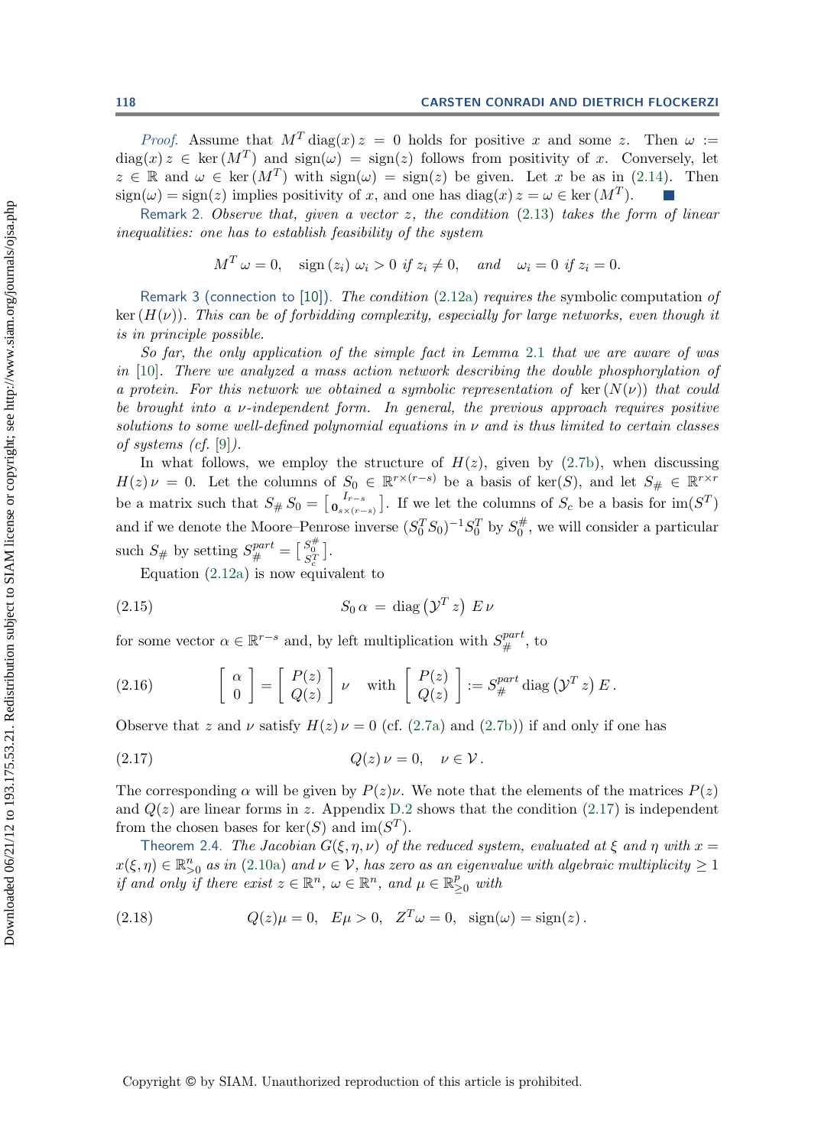*Proof.* Assume that  $M<sup>T</sup> diag(x) z = 0$  holds for positive x and some z. Then  $\omega :=$  $diag(x) z \in \text{ker}(M^T)$  and  $sign(\omega) = sign(z)$  follows from positivity of x. Conversely, let  $z \in \mathbb{R}$  and  $\omega \in \text{ker}(M^T)$  with  $\text{sign}(\omega) = \text{sign}(z)$  be given. Let x be as in [\(2.14\)](#page-7-3). Then  $\text{sign}(\omega) = \text{sign}(z)$  implies positivity of x, and one has  $\text{diag}(x) z = \omega \in \text{ker}(M^T)$ .  $sign(\omega) = sign(z)$  implies positivity of x, and one has  $diag(x) z = \omega \in \text{ker}(M^T)$ .

Remark 2. *Observe that, given a vector* z*, the condition* [\(2.13\)](#page-7-4) *takes the form of linear inequalities: one has to establish feasibility of the system*

$$
M^T \omega = 0
$$
, sign  $(z_i) \omega_i > 0$  if  $z_i \neq 0$ , and  $\omega_i = 0$  if  $z_i = 0$ .

Remark 3 (connection to [\[10\]](#page-24-8)). *The condition* [\(2.12a\)](#page-7-2) *requires the* symbolic computation *of*  $\ker(H(\nu))$ *. This can be of forbidding complexity, especially for large networks, even though it is in principle possible.*

*So far, the only application of the simple fact in Lemma* [2.1](#page-7-0) *that we are aware of was in* [\[10\]](#page-24-8)*. There we analyzed a mass action network describing the double phosphorylation of a protein. For this network we obtained a symbolic representation of* ker  $(N(\nu))$  *that could be brought into a* ν*-independent form. In general, the previous approach requires positive solutions to some well-defined polynomial equations in* ν *and is thus limited to certain classes of systems (cf.* [\[9\]](#page-24-1)*).*

In what follows, we employ the structure of  $H(z)$ , given by [\(2.7b\)](#page-5-1), when discussing  $\chi_{\nu} = 0$ . Let the columns of  $S_0 \in \mathbb{R}^{r \times (r-s)}$  be a basis of ker(S) and let  $S_{\nu} \in \mathbb{R}^{r \times r}$  $H(z) \nu = 0$ . Let the columns of  $S_0 \in \mathbb{R}^{r \times (r-s)}$  be a basis of ker(S), and let  $S_{\#} \in \mathbb{R}^{r \times r}$ be a matrix such that  $S_{\#} S_0 = \begin{bmatrix} I_{r-s} \\ 0_{s \times (r-s)} \end{bmatrix}$ . If we let the columns of  $S_c$  be a basis for  $\text{im}(S^T)$ and if we denote the Moore–Penrose inverse  $(S_0^T S_0)^{-1} S_0^T$  by  $S_0^{\#}$ , we will consider a particular such  $S_{\#}$  by setting  $S_{\#}^{part} = \begin{bmatrix} S_{\#}^{*} \\ S_{\#}^{T} \end{bmatrix}$ .<br>Fountion (2.12a) is now comp

<span id="page-8-4"></span><span id="page-8-2"></span><span id="page-8-1"></span>Equation [\(2.12a\)](#page-7-2) is now equivalent to

$$
(2.15) \tS_0 \alpha = \text{diag}(\mathcal{Y}^T z) \ E \nu
$$

for some vector  $\alpha \in \mathbb{R}^{r-s}$  and, by left multiplication with  $S^{part}_{\#}$ , to

(2.16) 
$$
\begin{bmatrix} \alpha \\ 0 \end{bmatrix} = \begin{bmatrix} P(z) \\ Q(z) \end{bmatrix} \nu \text{ with } \begin{bmatrix} P(z) \\ Q(z) \end{bmatrix} := S_{\#}^{part} \text{ diag } (\mathcal{Y}^T z) E.
$$

Observe that z and v satisfy  $H(z) \nu = 0$  (cf. [\(2.7a\)](#page-5-1) and [\(2.7b\)](#page-5-1)) if and only if one has

$$
(2.17) \tQ(z)\nu = 0, \quad \nu \in \mathcal{V}.
$$

The corresponding  $\alpha$  will be given by  $P(z)\nu$ . We note that the elements of the matrices  $P(z)$ and  $Q(z)$  are linear forms in z. Appendix [D.2](#page-23-6) shows that the condition [\(2.17\)](#page-8-1) is independent from the chosen bases for  $\ker(S)$  and  $\operatorname{im}(S^T)$ .

<span id="page-8-0"></span>Theorem 2.4. *The Jacobian*  $G(\xi, \eta, \nu)$  *of the reduced system, evaluated at*  $\xi$  *and*  $\eta$  *with*  $x =$  $x(\xi,\eta) \in \mathbb{R}_{\geq 0}^n$  *as in* [\(2.10a\)](#page-6-2) *and*  $\nu \in V$ *, has zero as an eigenvalue with algebraic multiplicity*  $\geq 1$ <br>if and only if there exist  $x \in \mathbb{R}^n$ ,  $\omega \in \mathbb{R}^n$  and  $\mu \in \mathbb{R}^p$  with *if and only if there exist*  $z \in \mathbb{R}^n$ ,  $\omega \in \mathbb{R}^n$ , and  $\mu \in \mathbb{R}^p_{\geq 0}$  with

<span id="page-8-3"></span>(2.18) 
$$
Q(z)\mu = 0
$$
,  $E\mu > 0$ ,  $Z^T\omega = 0$ ,  $\text{sign}(\omega) = \text{sign}(z)$ .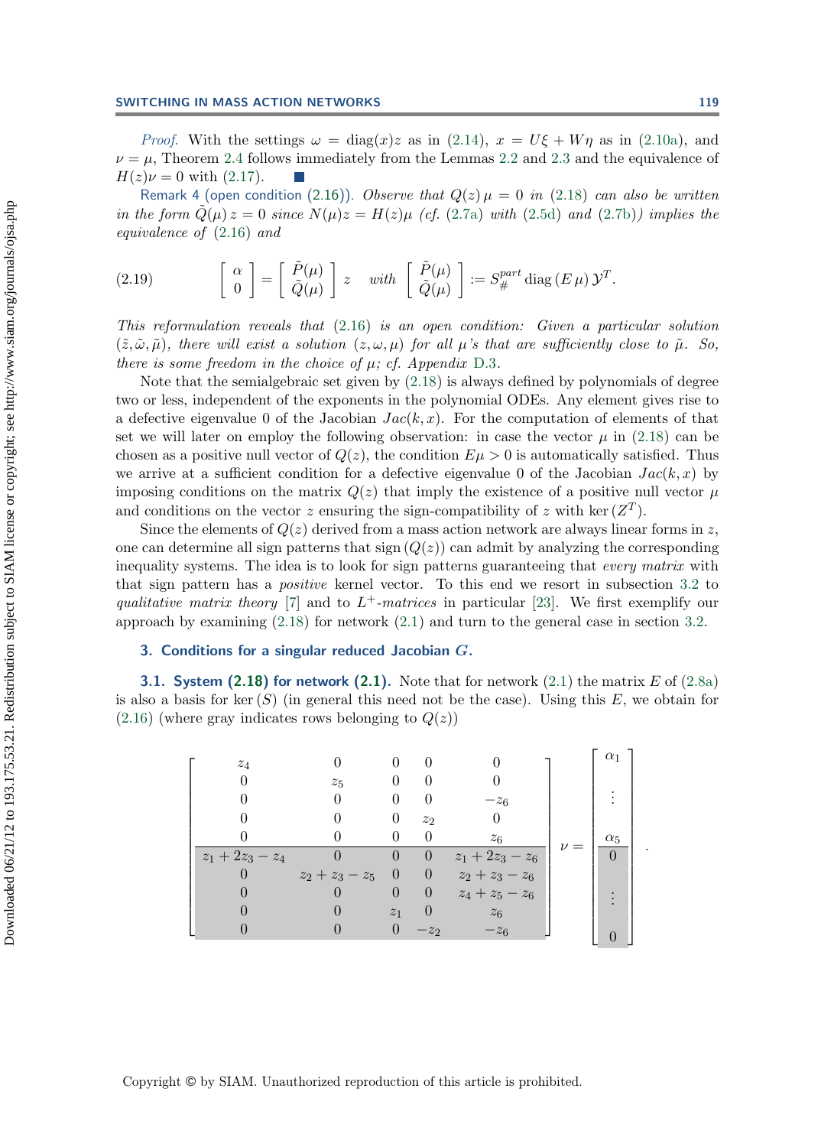*Proof.* With the settings  $\omega = \text{diag}(x)z$  as in [\(2.14\)](#page-7-3),  $x = U\xi + W\eta$  as in [\(2.10a\)](#page-6-2), and  $\nu = \mu$ , Theorem [2.4](#page-8-0) follows immediately from the Lemmas [2.2](#page-7-5) and [2.3](#page-7-6) and the equivalence of  $H(z)\nu = 0$  with [\(2.17\)](#page-8-1).

<span id="page-9-1"></span>Remark 4 (open condition [\(2.16\)](#page-8-2)). *Observe that*  $Q(z) \mu = 0$  *in* [\(2.18\)](#page-8-3) *can also be written in the form*  $Q(\mu) z = 0$  *since*  $N(\mu) z = H(z) \mu$  *(cf.* [\(2.7a\)](#page-5-1) *with* [\(2.5d\)](#page-5-0) *and* [\(2.7b\)](#page-5-1)*) implies the equivalence of* [\(2.16\)](#page-8-2) *and*

(2.19) 
$$
\begin{bmatrix} \alpha \\ 0 \end{bmatrix} = \begin{bmatrix} \tilde{P}(\mu) \\ \tilde{Q}(\mu) \end{bmatrix} z \quad with \quad \begin{bmatrix} \tilde{P}(\mu) \\ \tilde{Q}(\mu) \end{bmatrix} := S_{\#}^{part} \operatorname{diag}(E \mu) \mathcal{Y}^T.
$$

*This reformulation reveals that* [\(2.16\)](#page-8-2) *is an open condition: Given a particular solution*  $(\tilde{z}, \tilde{\omega}, \tilde{\mu})$ , there will exist a solution  $(z, \omega, \mu)$  for all  $\mu$ 's that are sufficiently close to  $\tilde{\mu}$ . So, *there is some freedom in the choice of* μ*; cf. Appendix* [D.3](#page-23-5)*.*

Note that the semialgebraic set given by [\(2.18\)](#page-8-3) is always defined by polynomials of degree two or less, independent of the exponents in the polynomial ODEs. Any element gives rise to a defective eigenvalue 0 of the Jacobian  $Jac(k, x)$ . For the computation of elements of that set we will later on employ the following observation: in case the vector  $\mu$  in [\(2.18\)](#page-8-3) can be chosen as a positive null vector of  $Q(z)$ , the condition  $E\mu > 0$  is automatically satisfied. Thus we arrive at a sufficient condition for a defective eigenvalue 0 of the Jacobian  $Jac(k, x)$  by imposing conditions on the matrix  $Q(z)$  that imply the existence of a positive null vector  $\mu$ and conditions on the vector z ensuring the sign-compatibility of z with ker  $(Z<sup>T</sup>)$ .

Since the elements of  $Q(z)$  derived from a mass action network are always linear forms in z, one can determine all sign patterns that sign  $(Q(z))$  can admit by analyzing the corresponding inequality systems. The idea is to look for sign patterns guaranteeing that *every matrix* with that sign pattern has a *positive* kernel vector. To this end we resort in subsection [3.2](#page-12-0) to *qualitative matrix theory* [\[7\]](#page-23-7) and to  $L^+$ *-matrices* in particular [\[23\]](#page-24-20). We first exemplify our approach by examining  $(2.18)$  for network  $(2.1)$  and turn to the general case in section [3.2.](#page-12-0)

#### <span id="page-9-0"></span>**3. Conditions for a singular reduced Jacobian** *G***.**

**3.1. System**  $(2.18)$  **for network**  $(2.1)$ **.** Note that for network  $(2.1)$  the matrix  $E$  of  $(2.8a)$ is also a basis for ker  $(S)$  (in general this need not be the case). Using this E, we obtain for  $(2.16)$  (where gray indicates rows belonging to  $Q(z)$ )

$$
\begin{bmatrix}\n z_4 & 0 & 0 & 0 & 0 \\
 0 & z_5 & 0 & 0 & 0 \\
 0 & 0 & 0 & 0 & -z_6 \\
 0 & 0 & 0 & 0 & z_2 & 0 \\
 0 & 0 & 0 & 0 & z_6 \\
 z_1 + 2z_3 - z_4 & 0 & 0 & 0 & z_1 + 2z_3 - z_6 \\
 0 & z_2 + z_3 - z_5 & 0 & 0 & z_1 + 2z_3 - z_6 \\
 0 & 0 & 0 & 0 & z_4 + z_5 - z_6 \\
 0 & 0 & z_1 & 0 & z_6 \\
 0 & 0 & 0 & -z_2 & -z_6\n\end{bmatrix}\n\begin{bmatrix}\n \alpha_1 \\
 \vdots \\
 \alpha_5 \\
 \vdots \\
 \alpha_7 \\
 \vdots \\
 0\n\end{bmatrix}.
$$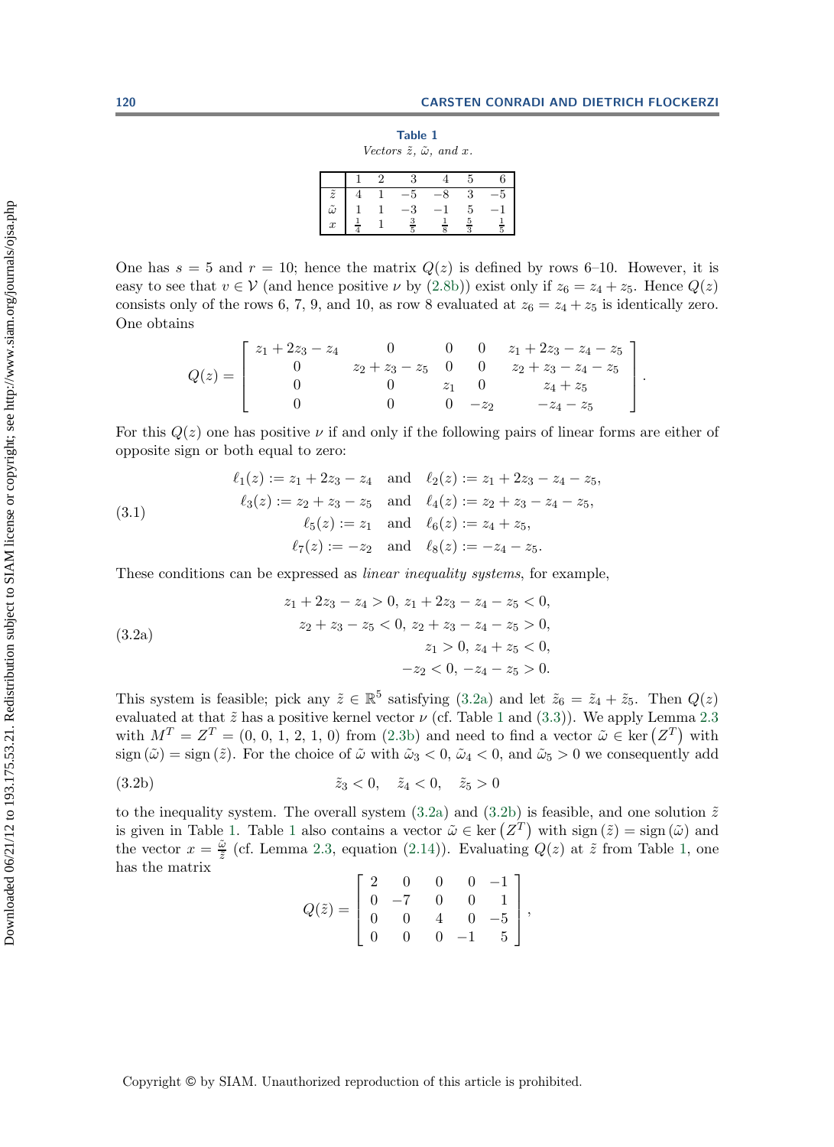<span id="page-10-1"></span>

|                                                 | Table 1 |  |
|-------------------------------------------------|---------|--|
| Vectors $\tilde{z}$ , $\tilde{\omega}$ , and x. |         |  |

|                                                            | $\mathcal{D}_{\mathcal{L}}$ | $\mathbf{3}$  |      | 5                                | 6             |
|------------------------------------------------------------|-----------------------------|---------------|------|----------------------------------|---------------|
| $\begin{array}{c} \tilde{z} \\ \tilde{\omega} \end{array}$ | $\overline{1}$              | $-5$          | $-8$ | 3                                | $-5$          |
|                                                            |                             | $-3\,$        | $-1$ | 5                                | $-1$          |
| $\boldsymbol{x}$                                           |                             | $\frac{3}{5}$ |      | $\overline{5}$<br>$\overline{3}$ | $\frac{1}{5}$ |

One has  $s = 5$  and  $r = 10$ ; hence the matrix  $Q(z)$  is defined by rows 6–10. However, it is easy to see that  $v \in V$  (and hence positive  $\nu$  by [\(2.8b\)](#page-5-3)) exist only if  $z_6 = z_4 + z_5$ . Hence  $Q(z)$ consists only of the rows 6, 7, 9, and 10, as row 8 evaluated at  $z_6 = z_4 + z_5$  is identically zero. One obtains

<span id="page-10-2"></span>
$$
Q(z) = \begin{bmatrix} z_1 + 2z_3 - z_4 & 0 & 0 & 0 & z_1 + 2z_3 - z_4 - z_5 \ 0 & z_2 + z_3 - z_5 & 0 & 0 & z_2 + z_3 - z_4 - z_5 \ 0 & 0 & z_1 & 0 & z_4 + z_5 \ 0 & 0 & 0 & -z_2 & -z_4 - z_5 \end{bmatrix}.
$$

For this  $Q(z)$  one has positive  $\nu$  if and only if the following pairs of linear forms are either of opposite sign or both equal to zero:

(3.1) 
$$
\ell_1(z) := z_1 + 2z_3 - z_4 \text{ and } \ell_2(z) := z_1 + 2z_3 - z_4 - z_5,
$$

$$
\ell_3(z) := z_2 + z_3 - z_5 \text{ and } \ell_4(z) := z_2 + z_3 - z_4 - z_5,
$$

$$
\ell_5(z) := z_1 \text{ and } \ell_6(z) := z_4 + z_5,
$$

$$
\ell_7(z) := -z_2 \text{ and } \ell_8(z) := -z_4 - z_5.
$$

These conditions can be expressed as *linear inequality systems*, for example,

(3.2a)  
\n
$$
z_1 + 2z_3 - z_4 > 0, z_1 + 2z_3 - z_4 - z_5 < 0,
$$
\n
$$
z_2 + z_3 - z_5 < 0, z_2 + z_3 - z_4 - z_5 > 0,
$$
\n
$$
z_1 > 0, z_4 + z_5 < 0,
$$
\n
$$
-z_2 < 0, -z_4 - z_5 > 0.
$$

This system is feasible; pick any  $\tilde{z} \in \mathbb{R}^5$  satisfying [\(3.2a\)](#page-10-0) and let  $\tilde{z}_6 = \tilde{z}_4 + \tilde{z}_5$ . Then  $Q(z)$ evaluated at that  $\tilde{z}$  has a positive kernel vector  $\nu$  (cf. Table [1](#page-10-1) and [\(3.3\)](#page-11-0)). We apply Lemma [2.3](#page-7-6) with  $M^T = Z^T = (0, 0, 1, 2, 1, 0)$  from [\(2.3b\)](#page-4-1) and need to find a vector  $\tilde{\omega} \in \text{ker}(Z^T)$  with<br>sign  $(\tilde{\omega}) = \text{sign}(\tilde{z})$ . For the choice of  $\tilde{\omega}$  with  $\tilde{\omega} \geq 0$ ,  $\tilde{\omega} \leq 0$ , and  $\tilde{\omega} \geq 0$  we consequently a sign  $(\tilde{\omega}) =$  sign  $(\tilde{z})$ . For the choice of  $\tilde{\omega}$  with  $\tilde{\omega}_3 < 0$ ,  $\tilde{\omega}_4 < 0$ , and  $\tilde{\omega}_5 > 0$  we consequently add

(3.2b) 
$$
\tilde{z}_3 < 0, \quad \tilde{z}_4 < 0, \quad \tilde{z}_5 > 0
$$

to the inequality system. The overall system [\(3.2a\)](#page-10-0) and [\(3.2b\)](#page-10-1) is feasible, and one solution  $\tilde{z}$ is given in Table [1.](#page-10-1) Table [1](#page-10-1) also contains a vector  $\tilde{\omega} \in \text{ker}(\mathbb{Z}^T)$  with sign  $(\tilde{z}) = \text{sign}(\tilde{\omega})$  and the vector  $x = \tilde{\omega}$  (of Lemma 2.3, equation (2.14)). Evaluating  $O(z)$  at  $\tilde{z}$  from Table 1, and the vector  $x = \frac{\tilde{\omega}}{\tilde{z}}$  (cf. Lemma [2.3,](#page-7-6) equation [\(2.14\)](#page-7-3)). Evaluating  $Q(z)$  at  $\tilde{z}$  from Table [1,](#page-10-1) one has the matrix has the matrix  $\overline{a}$ 

<span id="page-10-0"></span>
$$
Q(\tilde{z}) = \begin{bmatrix} 2 & 0 & 0 & 0 & -1 \\ 0 & -7 & 0 & 0 & 1 \\ 0 & 0 & 4 & 0 & -5 \\ 0 & 0 & 0 & -1 & 5 \end{bmatrix},
$$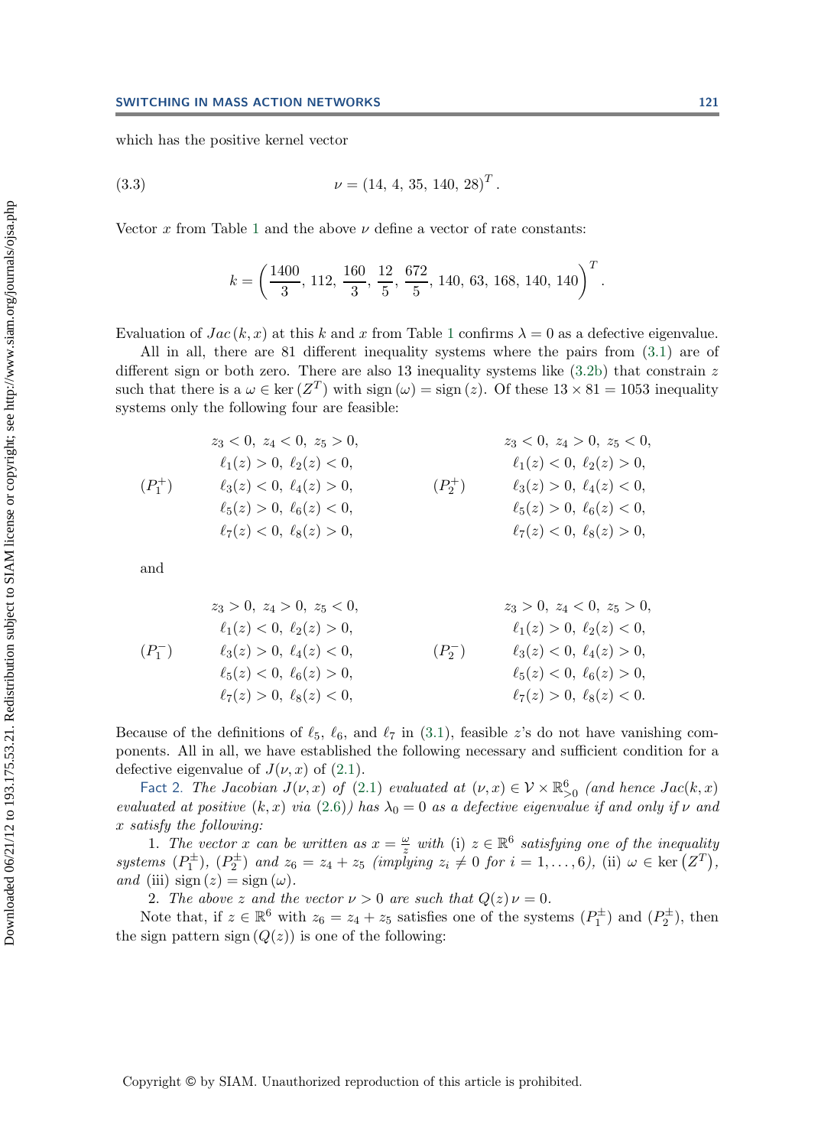which has the positive kernel vector

(3.3) 
$$
\nu = (14, 4, 35, 140, 28)^T.
$$

Vector x from Table [1](#page-10-1) and the above  $\nu$  define a vector of rate constants:

<span id="page-11-0"></span>
$$
k = \left(\frac{1400}{3}, 112, \frac{160}{3}, \frac{12}{5}, \frac{672}{5}, 140, 63, 168, 140, 140\right)^T.
$$

Evaluation of  $Jac(k, x)$  at this k and x from Table [1](#page-10-1) confirms  $\lambda = 0$  as a defective eigenvalue.

All in all, there are 81 different inequality systems where the pairs from [\(3.1\)](#page-10-2) are of different sign or both zero. There are also 13 inequality systems like  $(3.2b)$  that constrain z such that there is a  $\omega \in \ker(Z^T)$  with sign  $(\omega) = \text{sign}(z)$ . Of these  $13 \times 81 = 1053$  inequality systems only the following four are feasible:

$$
z_3 < 0, \ z_4 < 0, \ z_5 > 0, \ z_3 < 0, \ z_4 > 0, \ z_5 < 0, \ z_6 < 0, \ z_7 < 0, \ \ell_1(z) > 0, \ \ell_2(z) < 0, \ \ell_3(z) < 0, \ \ell_4(z) > 0, \ \ell_5(z) > 0, \ \ell_6(z) < 0, \ \ell_7(z) < 0, \ \ell_8(z) > 0, \ \ell_7(z) < 0, \ \ell_8(z) > 0, \ \ell_7(z) < 0, \ \ell_8(z) > 0, \ \ell_8(z) > 0, \ \ell_9(z) < 0, \ \ell_1(z) < 0, \ \ell_8(z) > 0, \ \ell_1(z) < 0, \ \ell_8(z) > 0, \ \ell_1(z) < 0, \ \ell_8(z) > 0, \ \ell_1(z) < 0, \ \ell_1(z) < 0, \ \ell_2(z) < 0, \ \ell_3(z) > 0, \ \ell_4(z) < 0, \ \ell_5(z) < 0, \ \ell_6(z) > 0, \ \ell_7(z) < 0, \ \ell_8(z) > 0, \ \ell_9(z) < 0, \ \ell_1(z) < 0, \ \ell_1(z) < 0, \ \ell_2(z) < 0, \ \ell_3(z) > 0, \ \ell_4(z) < 0, \ \ell_5(z) < 0, \ \ell_6(z) < 0, \ \ell_7(z) < 0, \ \ell_8(z) > 0, \ \ell_9(z) < 0, \ \ell_1(z) < 0, \ \ell_1(z) < 0, \ \ell_2(z) < 0, \ \ell_3(z) < 0, \ \ell_4(z) < 0, \ \ell_5(z) < 0, \ \ell_6(z) < 0, \ \ell_7(z) < 0, \ \ell_8(z) > 0, \ \ell_9(z) < 0, \ \ell_1(z) < 0, \ \ell_1(z) < 0, \ \ell_
$$

and

$$
z_3 > 0, z_4 > 0, z_5 < 0,
$$
  
\n
$$
\ell_1(z) < 0, \ell_2(z) > 0,
$$
  
\n
$$
\ell_3(z) > 0, \ell_4(z) < 0,
$$
  
\n
$$
\ell_4(z) < 0,
$$
  
\n
$$
\ell_5(z) < 0, \ell_6(z) > 0,
$$
  
\n
$$
\ell_7(z) > 0, \ell_8(z) < 0,
$$
  
\n
$$
\ell_8(z) < 0, \ell_8(z) < 0,
$$
  
\n
$$
\ell_9(z) < 0, \ell_6(z) > 0,
$$
  
\n
$$
\ell_9(z) < 0, \ell_6(z) > 0,
$$
  
\n
$$
\ell_1(z) > 0, \ell_2(z) < 0,
$$
  
\n
$$
\ell_5(z) < 0, \ell_6(z) > 0,
$$
  
\n
$$
\ell_7(z) > 0, \ell_8(z) < 0.
$$

Because of the definitions of  $\ell_5$ ,  $\ell_6$ , and  $\ell_7$  in [\(3.1\)](#page-10-2), feasible z's do not have vanishing components. All in all, we have established the following necessary and sufficient condition for a defective eigenvalue of  $J(\nu, x)$  of [\(2.1\)](#page-2-1).

Fact 2. *The Jacobian*  $J(\nu, x)$  *of* [\(2.1\)](#page-2-1) *evaluated at*  $(\nu, x) \in \mathcal{V} \times \mathbb{R}_{>0}^6$  *(and hence*  $Jac(k, x)$ *) lugted at positive*  $(k, x)$  *via*  $(2, 6)$ ) has  $\lambda_0 = 0$  as a defective eigenvalue if and only if  $\mu$  and *evaluated at positive*  $(k, x)$  *via*  $(2.6)$ *)* has  $\lambda_0 = 0$  *as a defective eigenvalue if and only if*  $\nu$  *and*  $x$  *satisfy the following:* x *satisfy the following:*

1. The vector x can be written as  $x = \frac{\omega}{z}$  with (i)  $z \in \mathbb{R}^6$  satisfying one of the inequality<br>ms  $(P^{\pm})$   $(P^{\pm})$  and  $z_c = z_t + z_t$  (implying  $z_t \neq 0$  for  $i = 1$  b) (ii)  $\omega \in \text{ker}(Z^T)$ *systems*  $(P_1^{\pm}), (P_2^{\pm})$  *and*  $z_6 = z_4 + z_5$  *(implying*  $z_i \neq 0$  *for*  $i = 1, ..., 6$ *)*, (ii)  $\omega \in \text{ker} (Z^T)$ , and (iii) sign  $(z) = \text{sign} (\omega)$ *and* (iii)  $sign(z) = sign(\omega)$ .

2. *The above* z and the vector  $\nu > 0$  are such that  $Q(z) \nu = 0$ .

Note that, if  $z \in \mathbb{R}^6$  with  $z_6 = z_4 + z_5$  satisfies one of the systems  $(P_1^{\pm})$  and  $(P_2^{\pm})$ , then sign pattern sign  $(O(z))$  is one of the following: the sign pattern sign  $(Q(z))$  is one of the following: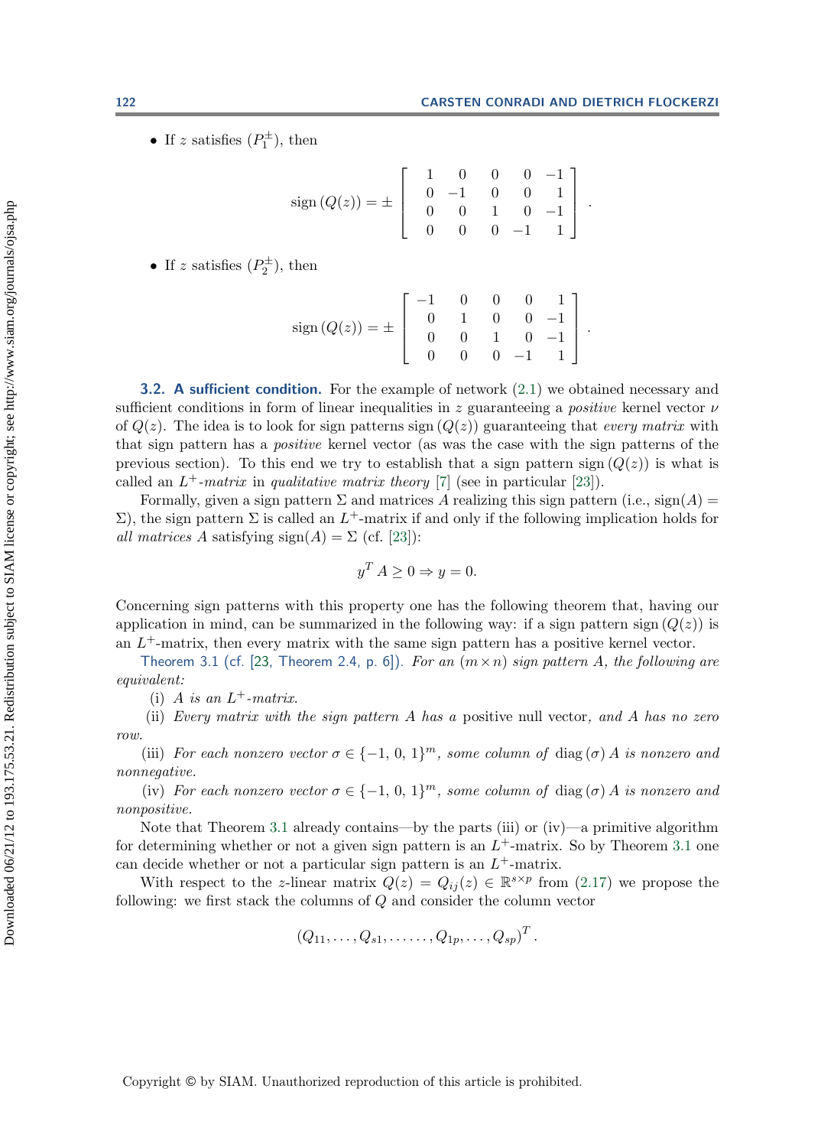• If z satisfies  $(P_1^{\pm})$ , then

$$
sign(Q(z)) = \pm \left[ \begin{array}{rrrr} 1 & 0 & 0 & 0 & -1 \\ 0 & -1 & 0 & 0 & 1 \\ 0 & 0 & 1 & 0 & -1 \\ 0 & 0 & 0 & -1 & 1 \end{array} \right].
$$

• If z satisfies  $(P_2^{\pm})$ , then

$$
sign(Q(z)) = \pm \begin{bmatrix} -1 & 0 & 0 & 0 & 1 \\ 0 & 1 & 0 & 0 & -1 \\ 0 & 0 & 1 & 0 & -1 \\ 0 & 0 & 0 & -1 & 1 \end{bmatrix}.
$$

<span id="page-12-0"></span>**3.2. A sufficient condition.** For the example of network [\(2.1\)](#page-2-1) we obtained necessary and sufficient conditions in form of linear inequalities in z guaranteeing a *positive* kernel vector  $\nu$ of  $Q(z)$ . The idea is to look for sign patterns sign  $(Q(z))$  guaranteeing that *every matrix* with that sign pattern has a *positive* kernel vector (as was the case with the sign patterns of the previous section). To this end we try to establish that a sign pattern sign  $(Q(z))$  is what is called an  $L^+$ *-matrix* in *qualitative matrix theory* [\[7\]](#page-23-7) (see in particular [\[23\]](#page-24-20)).

Formally, given a sign pattern  $\Sigma$  and matrices A realizing this sign pattern (i.e., sign(A) =  $\Sigma$ ), the sign pattern  $\Sigma$  is called an L<sup>+</sup>-matrix if and only if the following implication holds for *all matrices* A satisfying  $sign(A) = \sum (cf. [23])$  $sign(A) = \sum (cf. [23])$  $sign(A) = \sum (cf. [23])$ :

$$
y^T A \ge 0 \Rightarrow y = 0.
$$

Concerning sign patterns with this property one has the following theorem that, having our application in mind, can be summarized in the following way: if a sign pattern sign  $(Q(z))$  is an  $L^+$ -matrix, then every matrix with the same sign pattern has a positive kernel vector.

<span id="page-12-1"></span>Theorem 3.1 (cf. [\[23,](#page-24-20) Theorem 2.4, p. 6]). *For an*  $(m \times n)$  *sign pattern A, the following are equivalent:*

(i) A *is an*  $L^+$ *-matrix.* 

(ii) *Every matrix with the sign pattern* A *has a* positive null vector*, and* A *has no zero row.*

(iii) *For each nonzero vector*  $\sigma \in \{-1, 0, 1\}^m$ , some column of diag( $\sigma$ ) A is nonzero and *nonnegative.*

(iv) *For each nonzero vector*  $\sigma \in \{-1, 0, 1\}^m$ *, some column of* diag( $\sigma$ ) *A is nonzero and nonpositive.*

Note that Theorem [3.1](#page-12-1) already contains—by the parts (iii) or  $(iv)$ —a primitive algorithm for determining whether or not a given sign pattern is an  $L^+$ -matrix. So by Theorem [3.1](#page-12-1) one can decide whether or not a particular sign pattern is an  $L^+$ -matrix.

With respect to the z-linear matrix  $Q(z) = Q_{ij}(z) \in \mathbb{R}^{s \times p}$  from [\(2.17\)](#page-8-1) we propose the following: we first stack the columns of Q and consider the column vector

$$
(Q_{11},\ldots,Q_{s1},\ldots\ldots,Q_{1p},\ldots,Q_{sp})^T.
$$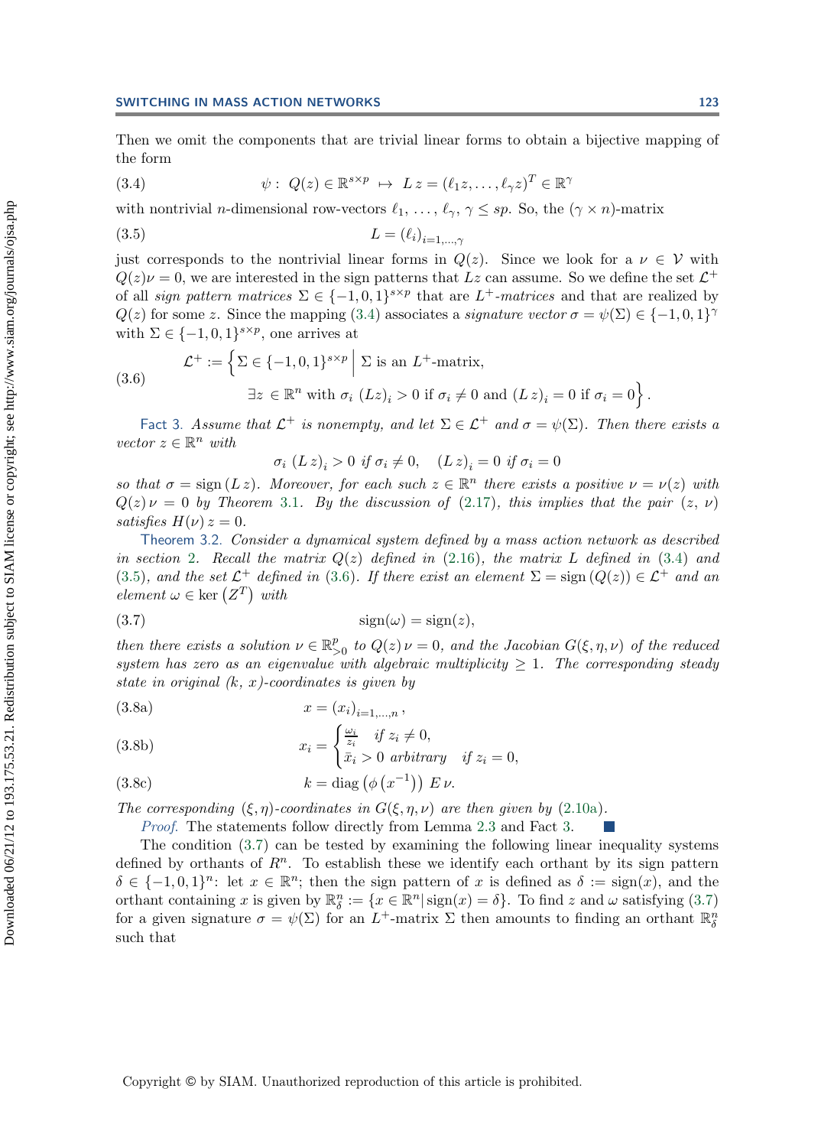<span id="page-13-1"></span>Then we omit the components that are trivial linear forms to obtain a bijective mapping of the form

(3.4) 
$$
\psi: Q(z) \in \mathbb{R}^{s \times p} \mapsto L z = (\ell_1 z, \dots, \ell_\gamma z)^T \in \mathbb{R}^\gamma
$$

with nontrivial *n*-dimensional row-vectors  $\ell_1, \ldots, \ell_{\gamma}, \gamma \leq sp$ . So, the  $(\gamma \times n)$ -matrix

$$
(3.5) \t\t\t L = (\ell_i)_{i=1,\dots,\gamma}
$$

just corresponds to the nontrivial linear forms in  $Q(z)$ . Since we look for a  $\nu \in V$  with  $Q(z)\nu = 0$ , we are interested in the sign patterns that Lz can assume. So we define the set  $\mathcal{L}^+$ of all *sign pattern matrices*  $\Sigma \in \{-1,0,1\}^{s \times p}$  that are L<sup>+</sup>-matrices and that are realized by  $Q(z)$  for some z. Since the mapping [\(3.4\)](#page-13-1) associates a *signature vector*  $\sigma = \psi(\Sigma) \in \{-1,0,1\}^{\gamma}$ with  $\Sigma \in \{-1,0,1\}^{s \times p}$ , one arrives at

(3.6) 
$$
\mathcal{L}^+ := \left\{ \Sigma \in \{-1, 0, 1\}^{s \times p} \middle| \Sigma \text{ is an } L^+ \text{-matrix}, \right\} \exists z \in \mathbb{R}^n \text{ with } \sigma_i \ (Lz)_i > 0 \text{ if } \sigma_i \neq 0 \text{ and } (L z)_i = 0 \text{ if } \sigma_i = 0 \right\}.
$$

<span id="page-13-4"></span>Fact 3. *Assume that*  $\mathcal{L}^+$  *is nonempty, and let*  $\Sigma \in \mathcal{L}^+$  *and*  $\sigma = \psi(\Sigma)$ *. Then there exists a*  $vector z \in \mathbb{R}^n$  *with* 

<span id="page-13-5"></span><span id="page-13-3"></span><span id="page-13-2"></span>
$$
\sigma_i \ (L \, z)_i > 0 \ \text{if } \sigma_i \neq 0, \quad (L \, z)_i = 0 \ \text{if } \sigma_i = 0
$$

*so that*  $\sigma = \text{sign}(L z)$ *. Moreover, for each such*  $z \in \mathbb{R}^n$  *there exists a positive*  $\nu = \nu(z)$  *with*  $O(z) \nu = 0$  by Theorem 3.1. By the discussion of (2.17), this implies that the pair  $(z, \nu)$  $Q(z) \nu = 0$  by Theorem [3.1](#page-12-1). By the discussion of [\(2.17\)](#page-8-1), this implies that the pair  $(z, \nu)$ *satisfies*  $H(\nu) z = 0$ .

<span id="page-13-0"></span>Theorem 3.2. *Consider a dynamical system defined by a mass action network as described in section* [2](#page-2-0)*.* Recall the matrix  $Q(z)$  defined in [\(2.16\)](#page-8-2), the matrix L defined in [\(3.4\)](#page-13-1) and [\(3.5\)](#page-13-2)*, and the set*  $\mathcal{L}^+$  *defined in* [\(3.6\)](#page-13-3)*. If there exist an element*  $\Sigma = \text{sign}(Q(z)) \in \mathcal{L}^+$  *and an*  $element \omega \in \text{ker} (Z^T) \text{ with}$ 

$$
\text{sign}(\omega) = \text{sign}(z),
$$

*then there exists a solution*  $\nu \in \mathbb{R}_{>0}^p$  *to*  $Q(z) \nu = 0$ *, and the Jacobian*  $G(\xi, \eta, \nu)$  *of the reduced* existent has zero as an ejecundually with algebraic multiplicity  $> 1$ . The corresponding steady *system has zero as an eigenvalue with algebraic multiplicity*  $\geq 1$ . The corresponding steady *state in original (*k*,* x*)-coordinates is given by*

(3.8a) 
$$
x = (x_i)_{i=1,...,n},
$$

(3.8b) 
$$
x_i = \begin{cases} \frac{\omega_i}{z_i} & \text{if } z_i \neq 0, \\ \bar{x}_i > 0 & \text{arbitrary} \quad \text{if } z_i = 0, \end{cases}
$$

(3.8c) 
$$
k = \text{diag}(\phi(x^{-1})) E \nu.
$$

*The corresponding*  $(\xi, \eta)$ -coordinates in  $G(\xi, \eta, \nu)$  are then given by [\(2.10a\)](#page-6-2).

*Proof*. The statements follow directly from Lemma [2.3](#page-7-6) and Fact [3.](#page-13-4)

<span id="page-13-6"></span>The condition [\(3.7\)](#page-13-5) can be tested by examining the following linear inequality systems defined by orthants of  $R<sup>n</sup>$ . To establish these we identify each orthant by its sign pattern  $\delta \in \{-1,0,1\}^n$ : let  $x \in \mathbb{R}^n$ ; then the sign pattern of x is defined as  $\delta := \text{sign}(x)$ , and the orthant containing x is given by  $\mathbb{R}_{\delta}^{n} := \{x \in \mathbb{R}^{n} | \operatorname{sign}(x) = \delta\}$ . To find z and  $\omega$  satisfying [\(3.7\)](#page-13-5)<br>for a given signature  $\sigma = \psi(\Sigma)$  for an  $I^{\pm}$ -matrix  $\Sigma$  then amounts to finding an orthant  $\mathbb{R}^{n}$ for a given signature  $\sigma = \psi(\Sigma)$  for an  $L^+$ -matrix  $\Sigma$  then amounts to finding an orthant  $\mathbb{R}^n_{\delta}$ such that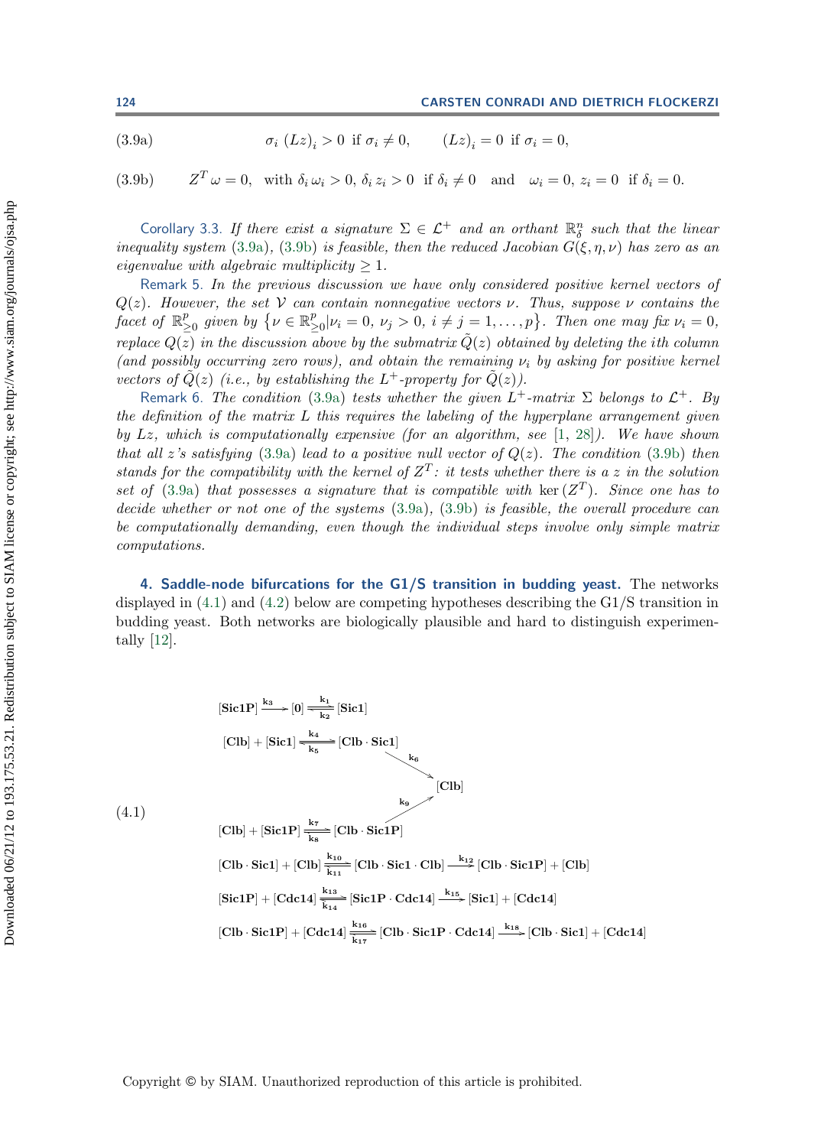(3.9a) 
$$
\sigma_i (Lz)_i > 0 \text{ if } \sigma_i \neq 0, \qquad (Lz)_i = 0 \text{ if } \sigma_i = 0,
$$

(3.9b)  $Z^T \omega = 0$ , with  $\delta_i \omega_i > 0$ ,  $\delta_i z_i > 0$  if  $\delta_i \neq 0$  and  $\omega_i = 0$ ,  $z_i = 0$  if  $\delta_i = 0$ .

Corollary 3.3. *If there exist a signature*  $\Sigma \in \mathcal{L}^+$  *and an orthant*  $\mathbb{R}^n_{\delta}$  *such that the linear*<br>mality system (3.95) (3.95) is feasible, then the reduced Lacobian  $G(\xi, n, \mu)$  has zero as an *inequality system* [\(3.9a\)](#page-13-6), [\(3.9b\)](#page-13-6) *is feasible, then the reduced Jacobian*  $G(\xi, \eta, \nu)$  *has zero as an eigenvalue with algebraic multiplicity*  $\geq 1$ *.* 

Remark 5. *In the previous discussion we have only considered positive kernel vectors of*  $Q(z)$ *. However, the set* V *can contain nonnegative vectors*  $\nu$ *. Thus, suppose*  $\nu$  *contains the facet of*  $\mathbb{R}^p_{\geq 0}$  *given by*  $\{\nu \in \mathbb{R}^p_{\geq 0} | \nu_i = 0, \nu_j > 0, i \neq j = 1, ..., p\}$ . Then one may fix  $\nu_i = 0$ , *replace*  $Q(z)$  *in the discussion above by the submatrix*  $\tilde{Q}(z)$  *obtained by deleting the ith column (and possibly occurring zero rows), and obtain the remaining* <sup>ν</sup>i *by asking for positive kernel vectors of*  $\tilde{Q}(z)$  *(i.e., by establishing the*  $L^+$ *-property for*  $\tilde{Q}(z)$ *).* 

Remark 6. *The condition* [\(3.9a\)](#page-13-6) *tests whether the given*  $L^+$ *-matrix*  $\Sigma$  *belongs to*  $\mathcal{L}^+$ *. By the definition of the matrix* L *this requires the labeling of the hyperplane arrangement given by* Lz*, which is computationally expensive (for an algorithm, see* [\[1,](#page-23-8) [28\]](#page-24-21)*). We have shown that all* z's satisfying [\(3.9a\)](#page-13-6) *lead to a positive null vector of*  $Q(z)$ *. The condition* [\(3.9b\)](#page-13-6) *then stands for the compatibility with the kernel of*  $Z^T$ *: it tests whether there is a* z *in the solution set of* [\(3.9a\)](#page-13-6) *that possesses a signature that is compatible with* ker  $(Z^T)$ *. Since one has to decide whether or not one of the systems* [\(3.9a\)](#page-13-6)*,* [\(3.9b\)](#page-13-6) *is feasible, the overall procedure can be computationally demanding, even though the individual steps involve only simple matrix computations.*

<span id="page-14-0"></span>**4. Saddle-node bifurcations for the G1/S transition in budding yeast.** The networks displayed in [\(4.1\)](#page-14-1) and [\(4.2\)](#page-15-0) below are competing hypotheses describing the G1/S transition in budding yeast. Both networks are biologically plausible and hard to distinguish experimentally [\[12\]](#page-24-3).

<span id="page-14-1"></span>
$$
[\text{Sic1P}] \xrightarrow{k_3} [0] \xrightarrow[k_2]{k_4} [\text{Sic1}]
$$
\n
$$
[\text{Clb}] + [\text{Sic1}] \xrightarrow[k_5]{k_4} [\text{Clb} \cdot \text{Sic1}]
$$
\n
$$
[\text{Clb}] + [\text{Sic1P}] \xrightarrow[k_8]{k_7} [\text{Clb}]
$$
\n
$$
[\text{Clb}] + [\text{Sic1P}] \xrightarrow[k_8]{k_7} [\text{Clb} \cdot \text{Sic1P}]
$$
\n
$$
[\text{Clb} \cdot \text{Sic1}] + [\text{Clb}] \xrightarrow[k_{13}]{k_{10}} [\text{Clb} \cdot \text{Sic1} \cdot \text{Clb}] \xrightarrow[k_{15}]{k_{12}} [\text{Clb} \cdot \text{Sic1P}] + [\text{Clb}]
$$
\n
$$
[\text{Sic1P}] + [\text{Cdc14}] \xrightarrow[k_{14}]{k_{13}} [\text{Sic1P} \cdot \text{Cdc14}] \xrightarrow[k_{15}]{k_{16}} [\text{Sic1P} \cdot \text{Cdc14}] \xrightarrow[k_{18}]{k_{18}} [\text{Clb} \cdot \text{Sic1}] + [\text{Cdc14}]
$$

(4.1)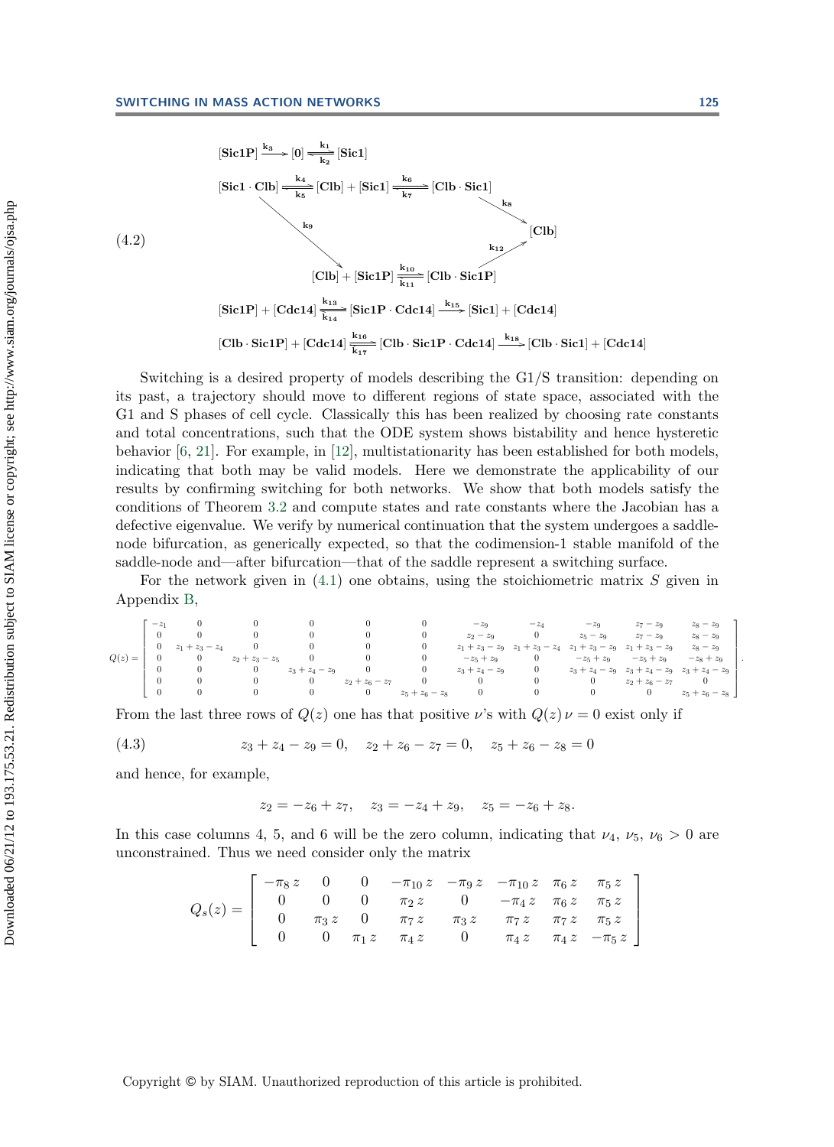<span id="page-15-0"></span>
$$
[\text{Sic1P}] \xrightarrow{k_3} [0] \xrightarrow[k_4]{k_4} [\text{Glb}] + [\text{Sic1}] \xrightarrow[k_6]{k_6} [\text{Cllb} \cdot \text{Sic1}]
$$
\n
$$
(4.2)
$$
\n
$$
[\text{Glb}] + [\text{Sic1P}] \xrightarrow[k_{10}]{k_{10}} [\text{Cllb}]
$$
\n
$$
[\text{Glb}] + [\text{Sic1P}] \xrightarrow[k_{11}]{k_{10}} [\text{Cllb} \cdot \text{Sic1P}]
$$
\n
$$
[\text{Sic1P}] + [\text{Cdc14}] \xrightarrow[k_{12}]{k_{13}} [\text{Sic1P} \cdot \text{Cdc14}] \xrightarrow[k_{15}]{k_{16}} [\text{Sic1}] + [\text{Cdc14}]
$$
\n
$$
[\text{Clb} \cdot \text{Sic1P}] + [\text{Cdc14}] \xrightarrow[k_{17}]{k_{18}} [\text{Clb} \cdot \text{Sic1P} \cdot \text{Cdc14}] \xrightarrow[k_{18}]{k_{18}} [\text{Clb} \cdot \text{Sic1}] + [\text{Cdc14}]
$$

Switching is a desired property of models describing the G1/S transition: depending on its past, a trajectory should move to different regions of state space, associated with the G1 and S phases of cell cycle. Classically this has been realized by choosing rate constants and total concentrations, such that the ODE system shows bistability and hence hysteretic behavior  $[6, 21]$  $[6, 21]$  $[6, 21]$ . For example, in [\[12\]](#page-24-3), multistationarity has been established for both models, indicating that both may be valid models. Here we demonstrate the applicability of our results by confirming switching for both networks. We show that both models satisfy the conditions of Theorem [3.2](#page-13-0) and compute states and rate constants where the Jacobian has a defective eigenvalue. We verify by numerical continuation that the system undergoes a saddlenode bifurcation, as generically expected, so that the codimension-1 stable manifold of the saddle-node and—after bifurcation—that of the saddle represent a switching surface.

For the network given in  $(4.1)$  one obtains, using the stoichiometric matrix S given in Appendix [B,](#page-19-1)

$$
Q(z)=\left[\begin{array}{cccccccccccccccc} -z_1 & 0 & 0 & 0 & 0 & 0 & -z_9 & -z_4 & -z_9 & z_7-z_9 & z_8-z_9 \\ 0 & 0 & 0 & 0 & 0 & 0 & z_2-z_9 & 0 & z_5-z_9 & z_7-z_9 & z_8-z_9 \\ 0 & z_1+z_3-z_4 & 0 & 0 & 0 & 0 & z_1+z_3-z_9 & z_1+z_3-z_9 & z_1+z_3-z_9 & z_8-z_9 \\ 0 & 0 & z_2+z_3-z_5 & 0 & 0 & 0 & -z_5+z_9 & 0 & -z_5+z_9 & -z_5+z_9 & -z_8+z_9 \\ 0 & 0 & 0 & z_3+z_4-z_9 & 0 & 0 & z_3+z_4-z_9 & 0 & z_3+z_4-z_9 & z_3+z_4-z_9 & z_3+z_4-z_9 \\ 0 & 0 & 0 & 0 & z_2+z_6-z_7 & 0 & 0 & 0 & 0 & z_2+z_6-z_7 & 0 \\ 0 & 0 & 0 & 0 & 0 & z_5+z_6-z_8 & 0 & 0 & 0 & 0 & z_5+z_6-z_8 \end{array}\right].
$$

From the last three rows of  $Q(z)$  one has that positive v's with  $Q(z) \nu = 0$  exist only if

(4.3) 
$$
z_3 + z_4 - z_9 = 0, \quad z_2 + z_6 - z_7 = 0, \quad z_5 + z_6 - z_8 = 0
$$

and hence, for example,

<span id="page-15-1"></span> $z_2 = -z_6 + z_7$ ,  $z_3 = -z_4 + z_9$ ,  $z_5 = -z_6 + z_8$ .

In this case columns 4, 5, and 6 will be the zero column, indicating that  $\nu_4$ ,  $\nu_5$ ,  $\nu_6 > 0$  are unconstrained. Thus we need consider only the matrix

$$
Q_s(z) = \begin{bmatrix} -\pi_8 z & 0 & 0 & -\pi_{10} z & -\pi_9 z & -\pi_{10} z & \pi_6 z & \pi_5 z \\ 0 & 0 & 0 & \pi_2 z & 0 & -\pi_4 z & \pi_6 z & \pi_5 z \\ 0 & \pi_3 z & 0 & \pi_7 z & \pi_3 z & \pi_7 z & \pi_7 z & \pi_5 z \\ 0 & 0 & \pi_1 z & \pi_4 z & 0 & \pi_4 z & \pi_4 z & -\pi_5 z \end{bmatrix}
$$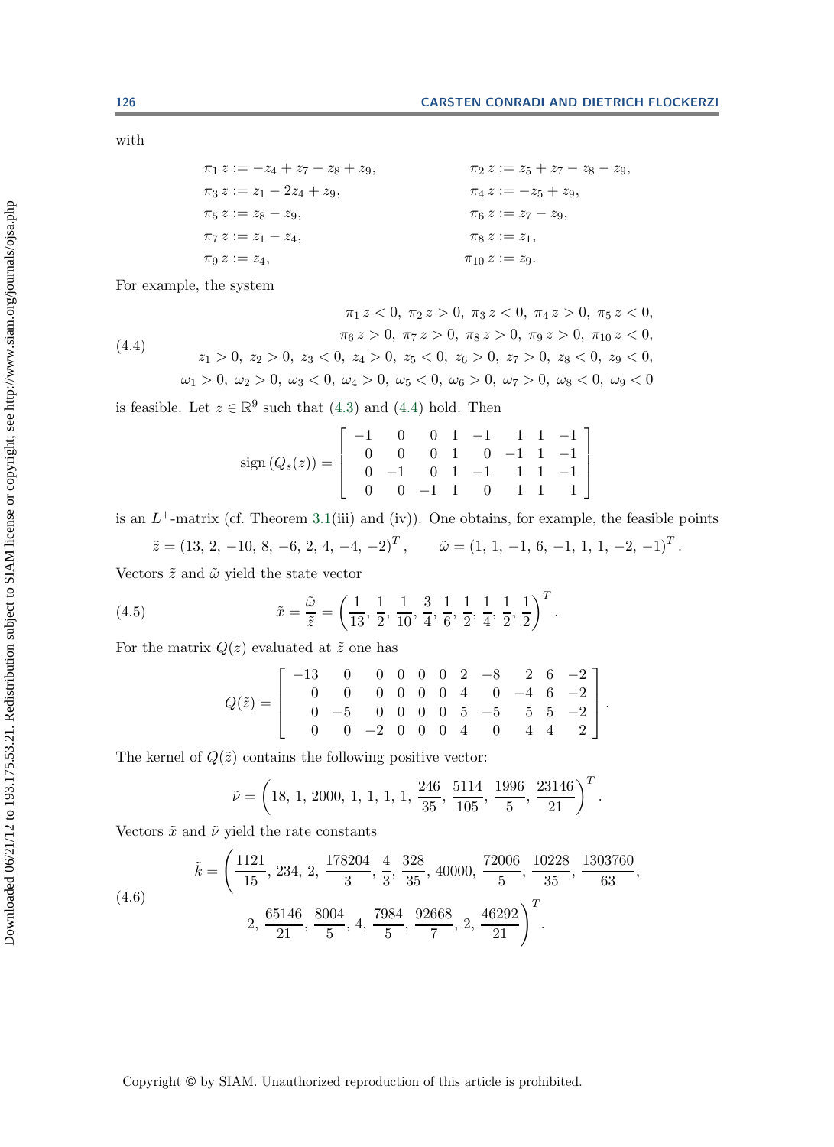with

<span id="page-16-0"></span> $\pi_1 z := -z_4 + z_7 - z_8 + z_9,$   $\pi_2 z := z_5 + z_7 - z_8 - z_9,$ <br>  $\pi_3 z := z_1 - 2z_4 + z_9,$   $\pi_4 z := -z_5 + z_9,$  $\pi_3 z := z_1 - 2z_4 + z_9,$   $\pi_4 z := -z_5 + z_9,$   $\pi_6 z := z_7 - z_9,$   $\pi_6 z := z_7 - z_9,$  $\pi_5 z := z_8 - z_9,$   $\pi_6 z := z_7$ <br>  $\pi_7 z := z_1 - z_4,$   $\pi_8 z := z_1,$  $\pi_7 z := z_1 - z_4,$ <br>  $\pi_9 z := z_4,$  $\pi_{10} z := z_9.$ 

For example, the system

(4.4) 
$$
\pi_1 z < 0, \ \pi_2 z > 0, \ \pi_3 z < 0, \ \pi_4 z > 0, \ \pi_5 z < 0, \ \pi_6 z > 0, \ \pi_7 z > 0, \ \pi_8 z > 0, \ \pi_9 z > 0, \ \pi_{10} z < 0, \ z_1 > 0, \ z_2 > 0, \ z_3 < 0, \ z_4 > 0, \ z_5 < 0, \ z_6 > 0, \ z_7 > 0, \ z_8 < 0, \ z_9 < 0, \ \omega_1 > 0, \ \omega_2 > 0, \ \omega_3 < 0, \ \omega_4 > 0, \ \omega_5 < 0, \ \omega_6 > 0, \ \omega_7 > 0, \ \omega_8 < 0, \ \omega_9 < 0
$$

is feasible. Let  $z \in \mathbb{R}^9$  such that [\(4.3\)](#page-15-1) and [\(4.4\)](#page-16-0) hold. Then

$$
sign(Q_s(z)) = \left[ \begin{array}{rrrrr} -1 & 0 & 0 & 1 & -1 & 1 & 1 & -1 \\ 0 & 0 & 0 & 1 & 0 & -1 & 1 & -1 \\ 0 & -1 & 0 & 1 & -1 & 1 & 1 & -1 \\ 0 & 0 & -1 & 1 & 0 & 1 & 1 & 1 \end{array} \right]
$$

is an  $L^+$ -matrix (cf. Theorem [3.1\(](#page-12-1)iii) and (iv)). One obtains, for example, the feasible points

$$
\tilde{z} = (13, 2, -10, 8, -6, 2, 4, -4, -2)^T
$$
,  $\tilde{\omega} = (1, 1, -1, 6, -1, 1, 1, -2, -1)^T$ .

Vectors  $\tilde{z}$  and  $\tilde{\omega}$  yield the state vector

(4.5) 
$$
\tilde{x} = \frac{\tilde{\omega}}{\tilde{z}} = \left(\frac{1}{13}, \frac{1}{2}, \frac{1}{10}, \frac{3}{4}, \frac{1}{6}, \frac{1}{2}, \frac{1}{4}, \frac{1}{2}, \frac{1}{2}\right)^T
$$

For the matrix  $Q(z)$  evaluated at  $\tilde{z}$  one has

<span id="page-16-1"></span>
$$
Q(\tilde{z}) = \left[\begin{array}{rrrrrrrr} -13 & 0 & 0 & 0 & 0 & 0 & 2 & -8 & 2 & 6 & -2 \\ 0 & 0 & 0 & 0 & 0 & 0 & 4 & 0 & -4 & 6 & -2 \\ 0 & -5 & 0 & 0 & 0 & 0 & 5 & -5 & 5 & 5 & -2 \\ 0 & 0 & -2 & 0 & 0 & 0 & 4 & 0 & 4 & 4 & 2 \end{array}\right].
$$

The kernel of  $Q(\tilde{z})$  contains the following positive vector:

<span id="page-16-2"></span>
$$
\tilde{\nu} = \left(18, 1, 2000, 1, 1, 1, 1, \frac{246}{35}, \frac{5114}{105}, \frac{1996}{5}, \frac{23146}{21}\right)^T.
$$

Vectors  $\tilde{x}$  and  $\tilde{\nu}$  yield the rate constants

(4.6) 
$$
\tilde{k} = \left(\frac{1121}{15}, 234, 2, \frac{178204}{3}, \frac{4}{3}, \frac{328}{35}, 40000, \frac{72006}{5}, \frac{10228}{35}, \frac{1303760}{63}, \frac{2, 65146}{21}, \frac{8004}{5}, 4, \frac{7984}{5}, \frac{92668}{7}, 2, \frac{46292}{21}\right)^T.
$$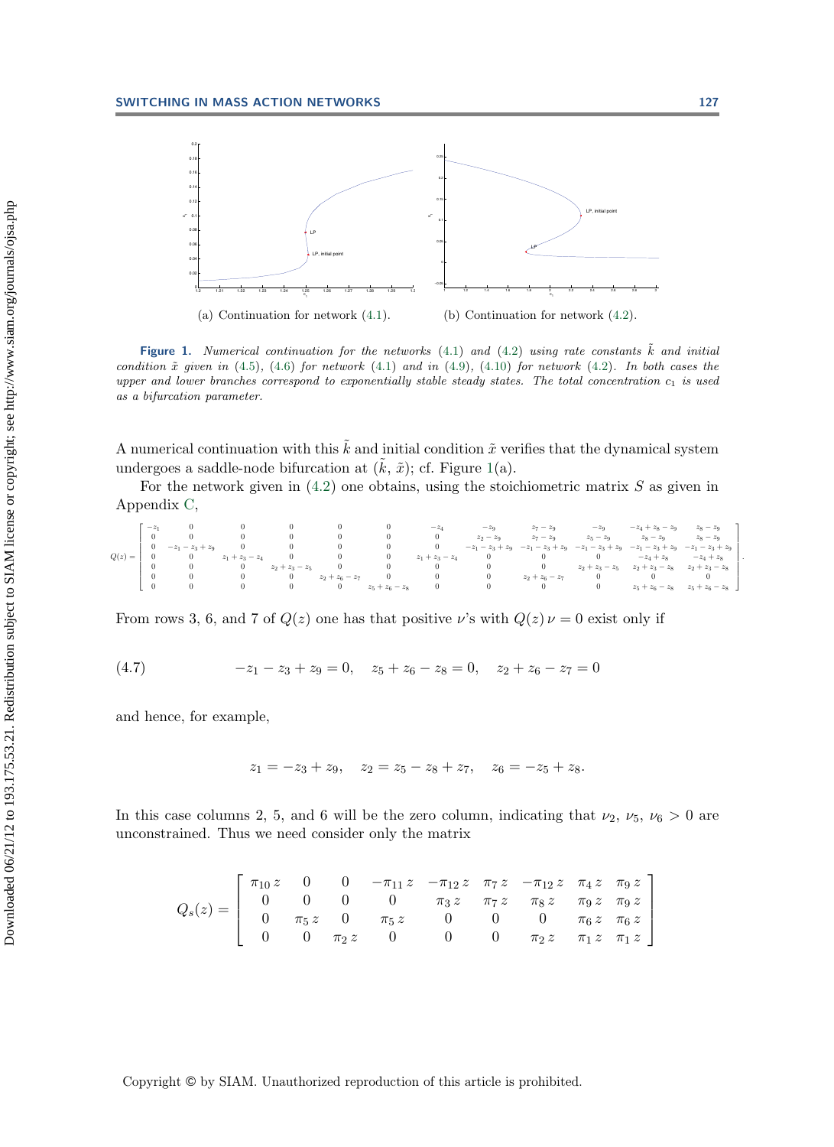

<span id="page-17-0"></span>**Figure 1.** Numerical continuation for the networks  $(4.1)$  and  $(4.2)$  using rate constants  $\tilde{k}$  and initial condition  $\tilde{x}$  given in [\(4.5\)](#page-16-1), [\(4.6\)](#page-16-2) for network [\(4.1\)](#page-14-1) and in [\(4.9\)](#page-18-0), [\(4.10\)](#page-18-1) for network [\(4.2\)](#page-15-0). In both cases the upper and lower branches correspond to exponentially stable steady states. The total concentration  $c_1$  is used as a bifurcation parameter.

A numerical continuation with this  $\tilde{k}$  and initial condition  $\tilde{x}$  verifies that the dynamical system<br>undergoes a saddle node bifurcation at  $(\tilde{k} \tilde{\phi})$ ; of Figure 1(a) undergoes a saddle-node bifurcation at  $(\tilde{k}, \tilde{x})$ ; cf. Figure [1\(](#page-17-0)a).<br>For the natural given in (4.2) and obtains, using the stoic

For the network given in  $(4.2)$  one obtains, using the stoichiometric matrix S as given in Appendix [C,](#page-21-0)

|          | $-z$     |                    |                   |                   |                   |                   | $-z_4$<br>$\theta$ | $-z_9$<br>$z_2 - z_9$ | $z_7 - z_9$<br>$z_7 - z_9$ | $-z_9$<br>$z_5 - z_9$ | $-z_4 + z_8 - z_9$<br>$z_8 - z_9$ | $z_8 - z_9$<br>$z_8-z_9$ |  |
|----------|----------|--------------------|-------------------|-------------------|-------------------|-------------------|--------------------|-----------------------|----------------------------|-----------------------|-----------------------------------|--------------------------|--|
|          |          | $-z_1 - z_3 + z_9$ |                   |                   |                   |                   |                    | $-z_1 - z_3 + z_9$    | $-z_1 - z_3 + z_9$         | $-z_1 - z_3 + z_9$    | $-z_1 - z_3 + z_9$                | $-z_1 - z_3 + z_9$       |  |
| $Q(z) =$ |          |                    | $z_1 + z_3 - z_4$ |                   |                   |                   | $z_1 + z_3 - z_4$  |                       |                            |                       | $-z_4 + z_8$                      | $-z_4 + z_8$             |  |
|          | 0        |                    |                   | $z_2 + z_3 - z_5$ |                   |                   |                    |                       |                            | $z_2 + z_3 - z_5$     | $z_2 + z_3 - z_8$                 | $z_2 + z_3 - z_8$        |  |
|          | $\theta$ |                    |                   | $\theta$          | $z_2 + z_6 - z_7$ |                   |                    |                       | $z_2 + z_6 - z_7$          | 0                     |                                   |                          |  |
|          |          |                    |                   |                   | $^{0}$            | $z_5 + z_6 - z_8$ |                    |                       |                            | 0                     | $z_5 + z_6 - z_8$                 | $z_5 + z_6 - z_8$        |  |
|          |          |                    |                   |                   |                   |                   |                    |                       |                            |                       |                                   |                          |  |

From rows 3, 6, and 7 of  $Q(z)$  one has that positive v's with  $Q(z) \nu = 0$  exist only if

(4.7) 
$$
-z_1 - z_3 + z_9 = 0, \quad z_5 + z_6 - z_8 = 0, \quad z_2 + z_6 - z_7 = 0
$$

and hence, for example,

$$
z_1 = -z_3 + z_9
$$
,  $z_2 = z_5 - z_8 + z_7$ ,  $z_6 = -z_5 + z_8$ .

In this case columns 2, 5, and 6 will be the zero column, indicating that  $\nu_2$ ,  $\nu_5$ ,  $\nu_6 > 0$  are unconstrained. Thus we need consider only the matrix

$$
Q_s(z) = \begin{bmatrix} \pi_{10} z & 0 & 0 & -\pi_{11} z & -\pi_{12} z & \pi_7 z & -\pi_{12} z & \pi_4 z & \pi_9 z \\ 0 & 0 & 0 & 0 & \pi_3 z & \pi_7 z & \pi_8 z & \pi_9 z & \pi_9 z \\ 0 & \pi_5 z & 0 & \pi_5 z & 0 & 0 & 0 & \pi_6 z & \pi_6 z \\ 0 & 0 & \pi_2 z & 0 & 0 & 0 & \pi_2 z & \pi_1 z & \pi_1 z \end{bmatrix}
$$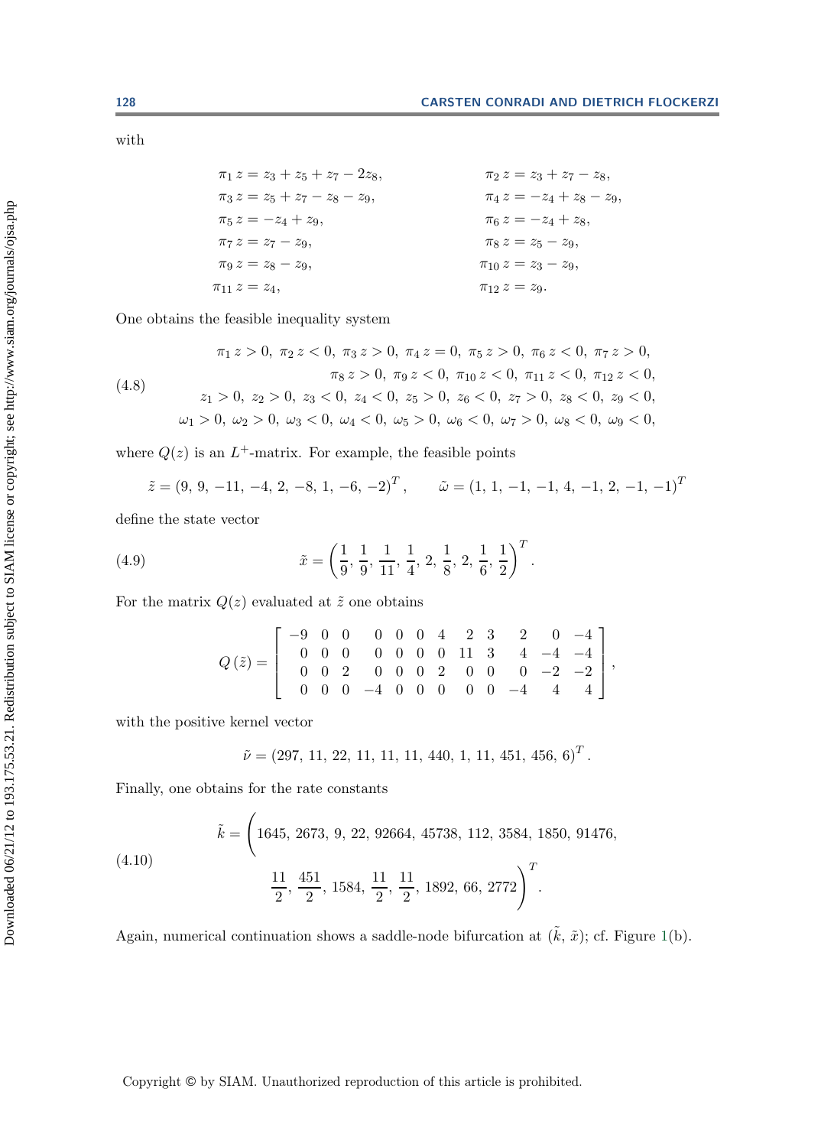with

 $\pi_1 z = z_3 + z_5 + z_7 - 2z_8,$   $\pi_2 z = z_3 + z_7 - z_8,$   $\pi_3 z = z_5 + z_7 - z_8 - z_9,$   $\pi_4 z = -z_4 + z_8 - z_9,$  $\pi_3 z = z_5 + z_7 - z_8 - z_9,$ <br>  $\pi_5 z = -z_4 + z_9,$  $\pi_5 z = -z_4 + z_9,$ <br>  $\pi_7 z = z_7 - z_9,$ <br>  $\pi_8 z = z_5 - z_9,$ <br>  $\pi_8 z = z_5 - z_9,$  $\pi_7 z = z_7 - z_9,$ <br>  $\pi_8 z = z_5 - z_9,$ <br>  $\pi_{10} z = z_3 - z_9,$ <br>  $\pi_{10} z = z_3 - z_9,$  $\pi_9 z = z_8 - z_9,$   $\pi_{10} z = z_3 - z_9,$   $\pi_{11} z = z_4,$   $\pi_{12} z = z_9.$  $\pi_{12} z = z_9.$ 

One obtains the feasible inequality system

(4.8)  
\n
$$
\pi_1 z > 0, \ \pi_2 z < 0, \ \pi_3 z > 0, \ \pi_4 z = 0, \ \pi_5 z > 0, \ \pi_6 z < 0, \ \pi_7 z > 0,
$$
\n
$$
\pi_8 z > 0, \ \pi_9 z < 0, \ \pi_{10} z < 0, \ \pi_{11} z < 0, \ \pi_{12} z < 0,
$$
\n
$$
z_1 > 0, \ z_2 > 0, \ z_3 < 0, \ z_4 < 0, \ z_5 > 0, \ z_6 < 0, \ z_7 > 0, \ z_8 < 0, \ z_9 < 0,
$$
\n
$$
\omega_1 > 0, \ \omega_2 > 0, \ \omega_3 < 0, \ \omega_4 < 0, \ \omega_5 > 0, \ \omega_6 < 0, \ \omega_7 > 0, \ \omega_8 < 0, \ \omega_9 < 0,
$$

where  $Q(z)$  is an  $L^+$ -matrix. For example, the feasible points

<span id="page-18-0"></span>
$$
\tilde{z} = (9, 9, -11, -4, 2, -8, 1, -6, -2)^T
$$
,  $\tilde{\omega} = (1, 1, -1, -1, 4, -1, 2, -1, -1)^T$ 

define the state vector

(4.9) 
$$
\tilde{x} = \left(\frac{1}{9}, \frac{1}{9}, \frac{1}{11}, \frac{1}{4}, 2, \frac{1}{8}, 2, \frac{1}{6}, \frac{1}{2}\right)^T.
$$

For the matrix  $Q(z)$  evaluated at  $\tilde{z}$  one obtains

$$
Q(\tilde{z}) = \left[ \begin{array}{rrrrrrrr} -9 & 0 & 0 & 0 & 0 & 0 & 4 & 2 & 3 & 2 & 0 & -4 \\ 0 & 0 & 0 & 0 & 0 & 0 & 0 & 11 & 3 & 4 & -4 & -4 \\ 0 & 0 & 2 & 0 & 0 & 0 & 2 & 0 & 0 & 0 & -2 & -2 \\ 0 & 0 & 0 & -4 & 0 & 0 & 0 & 0 & 0 & -4 & 4 & 4 \end{array} \right],
$$

with the positive kernel vector

<span id="page-18-1"></span>
$$
\tilde{\nu} = (297, 11, 22, 11, 11, 11, 440, 1, 11, 451, 456, 6)^T.
$$

Finally, one obtains for the rate constants

(4.10)  

$$
\tilde{k} = \left(1645, 2673, 9, 22, 92664, 45738, 112, 3584, 1850, 91476, \frac{11}{2}, \frac{451}{2}, 1584, \frac{11}{2}, \frac{11}{2}, 1892, 66, 2772\right)^T.
$$

Again, numerical continuation shows a saddle-node bifurcation at  $(\tilde{k}, \tilde{x})$ ; cf. Figure [1\(](#page-17-0)b).

Downloaded 06/21/12 to 193.175.53.21. Redistribution subject to SIAM license or copyright; see http://www.siam.org/journals/ojsa.php Downloaded 06/21/12 to 193.175.53.21. Redistribution subject to SIAM license or copyright; see http://www.siam.org/journals/ojsa.php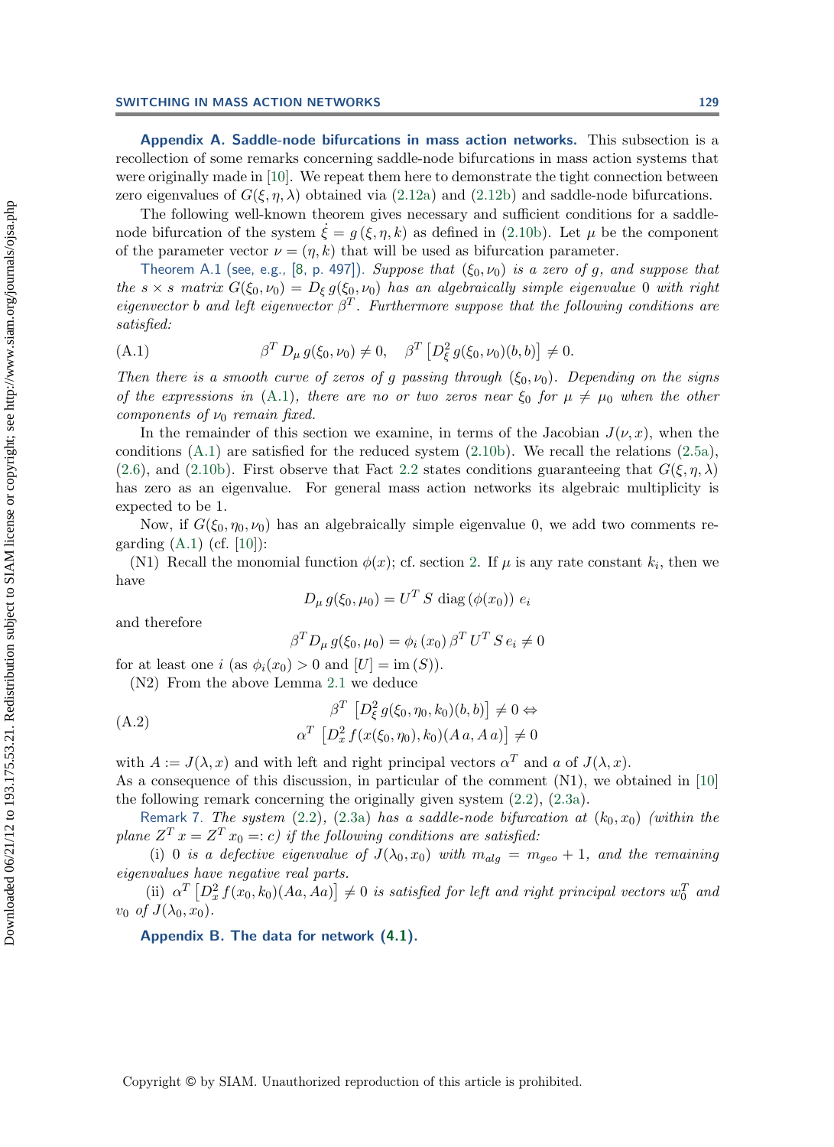<span id="page-19-0"></span>**Appendix A. Saddle-node bifurcations in mass action networks.** This subsection is a recollection of some remarks concerning saddle-node bifurcations in mass action systems that were originally made in [\[10\]](#page-24-8). We repeat them here to demonstrate the tight connection between zero eigenvalues of  $G(\xi, \eta, \lambda)$  obtained via [\(2.12a\)](#page-7-2) and [\(2.12b\)](#page-7-2) and saddle-node bifurcations.

The following well-known theorem gives necessary and sufficient conditions for a saddlenode bifurcation of the system  $\dot{\xi} = g(\xi, \eta, k)$  as defined in [\(2.10b\)](#page-6-2). Let  $\mu$  be the component<br>of the parameter vector  $\mu = (\mu, k)$  that will be used as bifurcation parameter. of the parameter vector  $\nu = (\eta, k)$  that will be used as bifurcation parameter.

Theorem A.1 (see, e.g., [\[8,](#page-24-23) p. 497]). *Suppose that*  $(\xi_0, \nu_0)$  *is a zero of g, and suppose that the*  $s \times s$  *matrix*  $G(\xi_0, \nu_0) = D_{\xi} g(\xi_0, \nu_0)$  *has an algebraically simple eigenvalue* 0 *with right eigenvector* <sup>b</sup> *and left eigenvector* <sup>β</sup><sup>T</sup> *. Furthermore suppose that the following conditions are satisfied:*

<span id="page-19-2"></span>(A.1) 
$$
\beta^T D_{\mu} g(\xi_0, \nu_0) \neq 0, \quad \beta^T \left[ D_{\xi}^2 g(\xi_0, \nu_0)(b, b) \right] \neq 0.
$$

*Then there is a smooth curve of zeros of g passing through*  $(\xi_0, \nu_0)$ *. Depending on the signs of the expressions in* [\(A.1\)](#page-19-2)*, there are no or two zeros near*  $\xi_0$  *for*  $\mu \neq \mu_0$  *when the other components of*  $\nu_0$  *remain fixed.* 

In the remainder of this section we examine, in terms of the Jacobian  $J(\nu, x)$ , when the conditions [\(A.1\)](#page-19-2) are satisfied for the reduced system [\(2.10b\)](#page-6-2). We recall the relations [\(2.5a\)](#page-5-0), [\(2.6\)](#page-5-2), and [\(2.10b\)](#page-6-2). First observe that Fact [2.2](#page-7-5) states conditions guaranteeing that  $G(\xi, \eta, \lambda)$ has zero as an eigenvalue. For general mass action networks its algebraic multiplicity is expected to be 1.

Now, if  $G(\xi_0, \eta_0, \nu_0)$  has an algebraically simple eigenvalue 0, we add two comments regarding  $(A.1)$  (cf. [\[10\]](#page-24-8)):

(N1) Recall the monomial function  $\phi(x)$ ; cf. section [2.](#page-2-0) If  $\mu$  is any rate constant  $k_i$ , then we have

$$
D_{\mu} g(\xi_0, \mu_0) = U^T S \text{ diag}(\phi(x_0)) e_i
$$

and therefore

$$
\beta^T D_\mu g(\xi_0, \mu_0) = \phi_i(x_0) \beta^T U^T S e_i \neq 0
$$

for at least one i (as  $\phi_i(x_0) > 0$  and  $[U] = \text{im}(S)$ ).

(N2) From the above Lemma [2.1](#page-7-0) we deduce

$$
\beta^T \left[ D_{\xi}^2 g(\xi_0, \eta_0, k_0)(b, b) \right] \neq 0 \Leftrightarrow
$$
  

$$
\alpha^T \left[ D_x^2 f(x(\xi_0, \eta_0), k_0)(A \, a, A \, a) \right] \neq 0
$$

with  $A := J(\lambda, x)$  and with left and right principal vectors  $\alpha^T$  and a of  $J(\lambda, x)$ .

As a consequence of this discussion, in particular of the comment  $(N1)$ , we obtained in [\[10\]](#page-24-8) the following remark concerning the originally given system [\(2.2\)](#page-3-0), [\(2.3a\)](#page-4-1).

Remark 7. *The system* [\(2.2\)](#page-3-0), [\(2.3a\)](#page-4-1) *has a saddle-node bifurcation at*  $(k_0, x_0)$  *(within the plane*  $Z^T x = Z^T x_0 = c$  *if the following conditions are satisfied:* 

(i) 0 *is a defective eigenvalue of*  $J(\lambda_0, x_0)$  *with*  $m_{alg} = m_{geo} + 1$ *, and the remaining eigenvalues have negative real parts.*

<span id="page-19-1"></span>(ii)  $\alpha^T \left[ D_x^2 f(x_0, k_0) (Aa, Aa) \right] \neq 0$  *is satisfied for left and right principal vectors*  $w_0^T$  and  $f(L)$ ,  $x_0$ *v*<sub>0</sub> *of*  $J(\lambda_0, x_0)$ *.* 

**Appendix B. The data for network [\(4.1\)](#page-14-1).**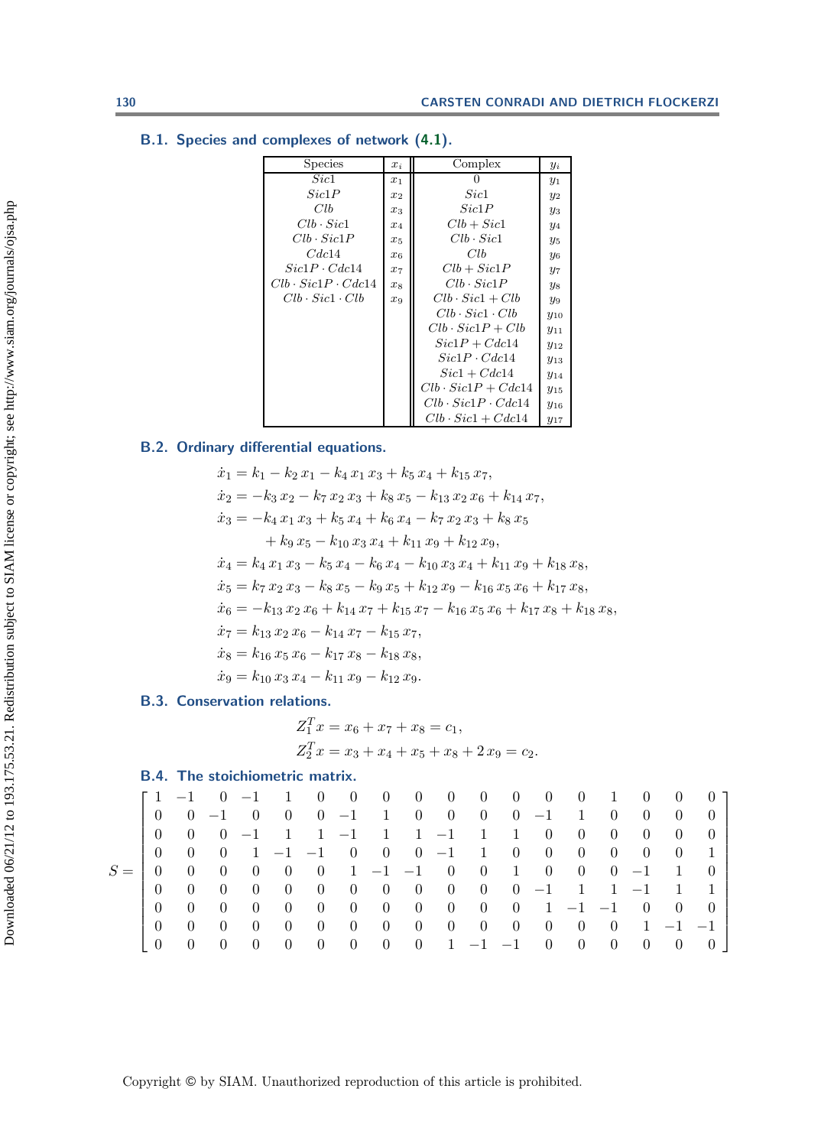| Species                       | $x_i$   | Complex                       | $y_i$                 |
|-------------------------------|---------|-------------------------------|-----------------------|
| Sic1                          | $x_1$   | $\mathbf{0}$                  | $y_1$                 |
| Sic1P                         | $x_2$   | Sic1                          | $y_2$                 |
| Clb                           | $x_3$   | Sic1P                         | $y_3$                 |
| $Clb \cdot Sic1$              | $x_4$   | $Clb + Sic1$                  | $y_4$                 |
| $Clb \cdot Sic1P$             | $x_5$   | $Clb \cdot Sic1$              | $y_5$                 |
| Cdc14                         | $x_{6}$ | Clb                           | <b>y</b> <sub>6</sub> |
| $Sic1P \cdot Cdc14$           | $x_7$   | $Clb + Sic1P$                 | $y_7$                 |
| $Clb \cdot Sic1P \cdot Cdc14$ | $x_8$   | $Clb \cdot Sic1P$             | $y_8$                 |
| $Clb \cdot Sic1 \cdot Clb$    | $x_9$   | $Clb \cdot Sic1 + Clb$        | Y9                    |
|                               |         | $Clb \cdot Sic1 \cdot Clb$    | $y_{10}$              |
|                               |         | $Clb \cdot Sic1P + Clb$       | $y_{11}$              |
|                               |         | $Sic1P + Cdc14$               | $y_{12}$              |
|                               |         | $Sic1P \cdot Cdc14$           | $y_{13}$              |
|                               |         | $Sic1 + Cdc14$                | $y_{14}$              |
|                               |         | $Clb \cdot Sic1P + Cdc14$     | $y_{15}$              |
|                               |         | $Clb \cdot Sic1P \cdot Cdc14$ | $y_{16}$              |
|                               |         | $Clb \cdot Sic1 + Cdc14$      | $y_{17}$              |

#### **B.1. Species and complexes of network [\(4.1\)](#page-14-1).**

# **B.2. Ordinary differential equations.**

 $\dot{x}_1 = k_1 - k_2 x_1 - k_4 x_1 x_3 + k_5 x_4 + k_{15} x_7,$  $\dot{x}_2 = -k_3 x_2 - k_7 x_2 x_3 + k_8 x_5 - k_{13} x_2 x_6 + k_{14} x_7,$  $\dot{x}_3 = -k_4 x_1 x_3 + k_5 x_4 + k_6 x_4 - k_7 x_2 x_3 + k_8 x_5$  $+ k_9 x_5 - k_{10} x_3 x_4 + k_{11} x_9 + k_{12} x_9,$  $\dot{x}_4 = k_4 x_1 x_3 - k_5 x_4 - k_6 x_4 - k_{10} x_3 x_4 + k_{11} x_9 + k_{18} x_8,$  $\dot{x}_5 = k_7 x_2 x_3 - k_8 x_5 - k_9 x_5 + k_{12} x_9 - k_{16} x_5 x_6 + k_{17} x_8,$  $\dot{x}_6 = -k_{13} x_2 x_6 + k_{14} x_7 + k_{15} x_7 - k_{16} x_5 x_6 + k_{17} x_8 + k_{18} x_8,$  $\dot{x}_7 = k_{13} x_2 x_6 - k_{14} x_7 - k_{15} x_7,$  $\dot{x}_8 = k_{16} x_5 x_6 - k_{17} x_8 - k_{18} x_8,$  $\dot{x}_9 = k_{10} x_3 x_4 - k_{11} x_9 - k_{12} x_9.$ 

# **B.3. Conservation relations.**

$$
Z_1^T x = x_6 + x_7 + x_8 = c_1,
$$
  
\n
$$
Z_2^T x = x_3 + x_4 + x_5 + x_8 + 2 x_9 = c_2.
$$

#### **B.4. The stoichiometric matrix.**

|       |          | $\begin{bmatrix} 1 & -1 & 0 & -1 & 1 & 0 & 0 & 0 & 0 & 0 & 0 & 0 & 0 & 1 \end{bmatrix}$ |                               |                                        |                                  |                   |                 |                                   |                                 |                   |                                               |                                   |                                  |                                  | $\hspace{0.1em}0$            | $\theta$         | $()$ ]           |  |
|-------|----------|-----------------------------------------------------------------------------------------|-------------------------------|----------------------------------------|----------------------------------|-------------------|-----------------|-----------------------------------|---------------------------------|-------------------|-----------------------------------------------|-----------------------------------|----------------------------------|----------------------------------|------------------------------|------------------|------------------|--|
|       | (        |                                                                                         | $0 -1$                        | $\begin{array}{ccc} & & 0 \end{array}$ | $\begin{array}{c} 0 \end{array}$ |                   |                 |                                   |                                 |                   | $0 -1 1 0 0 0 0 -1 1$                         |                                   |                                  | $\begin{matrix} 0 \end{matrix}$  | - 0                          | $\theta$         | $\left( \right)$ |  |
|       | $\Omega$ | $\left( \right)$                                                                        |                               | $(0 -1)$                               | $\mathbf{1}$                     |                   |                 | $1 -1$ 1 1 -1 1                   |                                 |                   | $\begin{array}{cc} 1 \end{array}$             | $\begin{array}{cc} 0 \end{array}$ | $\begin{array}{c} 0 \end{array}$ | $\overline{0}$                   | $\vert 0 \vert$              | $\left( \right)$ | $\theta$         |  |
|       | $\theta$ | (                                                                                       | $\theta$                      |                                        |                                  |                   |                 |                                   |                                 |                   | $1 -1 -1 0 0 0 -1 1 0 0 0$                    |                                   |                                  | $\begin{array}{c} 0 \end{array}$ | - 0                          | -0               |                  |  |
| $S =$ | (        | $\overline{0}$                                                                          | $\begin{matrix}0\end{matrix}$ | $\begin{matrix}0\end{matrix}$          | $\overline{0}$                   | $\hspace{1.6cm}0$ |                 |                                   |                                 |                   | $1 -1 -1 0 0 1$                               |                                   |                                  |                                  | $0 \quad 0 \quad 0 \quad -1$ | $\blacksquare$   |                  |  |
|       | $\theta$ | (                                                                                       | $\theta$                      | $\theta$                               | $\begin{matrix} 0 \end{matrix}$  | $\overline{0}$    | $\overline{0}$  |                                   |                                 |                   | $0 \t 0 \t 0 \t 0 \t 0 \t -1 \t 1 \t 1 \t -1$ |                                   |                                  |                                  |                              | $\sim$ 1         |                  |  |
|       | $\theta$ | $\left( \right)$                                                                        | (                             | $\left( \right)$                       | $\left( \right)$                 | $\theta$          | $\vert 0 \vert$ | $\begin{array}{cc} 0 \end{array}$ | $\hspace{1.6cm}0\hspace{1.1cm}$ | $\hspace{1.6cm}0$ | $0 \t 0 \t 1 \t -1 \t -1 \t 0$                |                                   |                                  |                                  |                              | $\left( \right)$ | $\left( \right)$ |  |
|       | $\Omega$ | $\left( \right)$                                                                        | (                             | $\theta$                               | $\theta$                         | $\theta$          | $\vert 0 \vert$ | $\begin{array}{cc} 0 \end{array}$ | $\hspace{1.6cm}0\hspace{1.1cm}$ |                   | $0 \t 0 \t 0 \t 0 \t 0 \t 0 \t 1 \t -1 \t -1$ |                                   |                                  |                                  |                              |                  |                  |  |
|       |          | $\theta$                                                                                | $\theta$                      | $\theta$                               | $\theta$                         | $\theta$          | $\theta$        | $\theta$                          | $\overline{0}$                  |                   | $1 -1 -1$                                     | $\overline{0}$                    | $\overline{0}$                   | $\overline{0}$                   | $\overline{0}$               | $\theta$         | (                |  |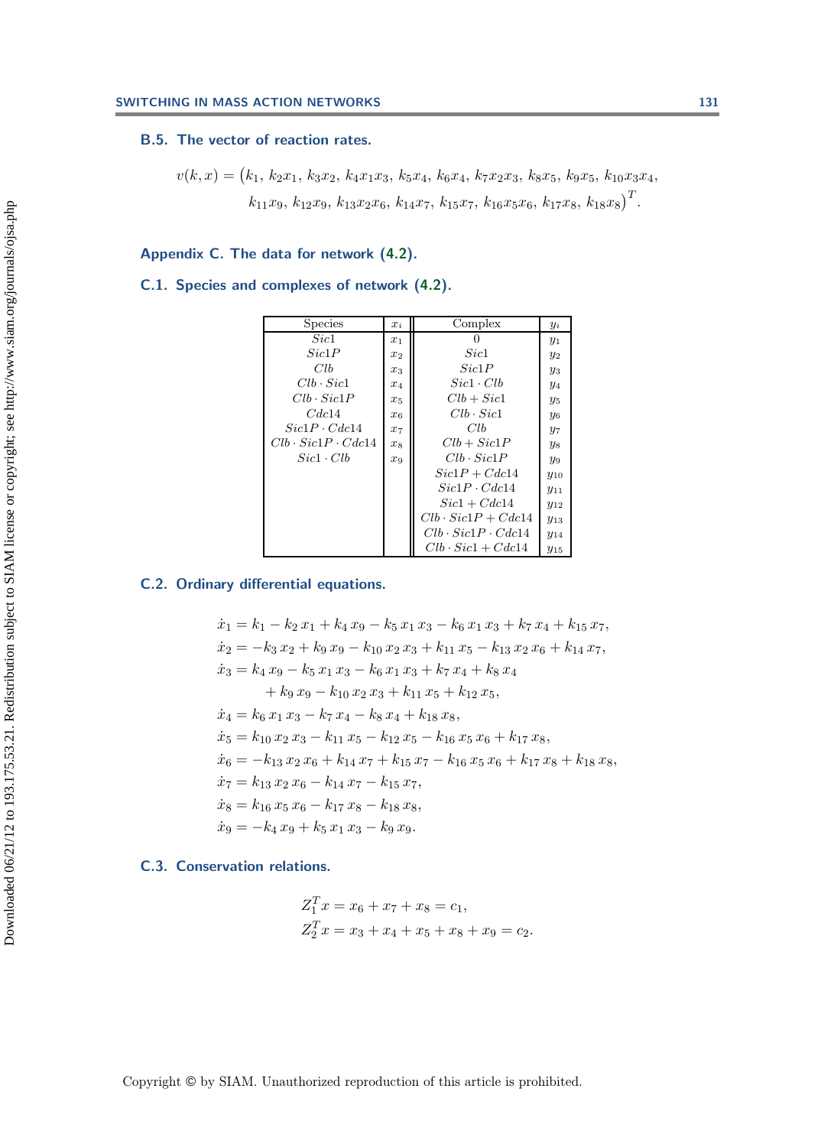#### **B.5. The vector of reaction rates.**

 $v(k, x) = (k_1, k_2x_1, k_3x_2, k_4x_1x_3, k_5x_4, k_6x_4, k_7x_2x_3, k_8x_5, k_9x_5, k_{10}x_3x_4,$  $k_{11}x_9, k_{12}x_9, k_{13}x_2x_6, k_{14}x_7, k_{15}x_7, k_{16}x_5x_6, k_{17}x_8, k_{18}x_8)^T$ .

# <span id="page-21-0"></span>**Appendix C. The data for network [\(4.2\)](#page-15-0).**

# **C.1. Species and complexes of network [\(4.2\)](#page-15-0).**

| <b>Species</b>                | $x_i$   | Complex                       | $y_i$                 |
|-------------------------------|---------|-------------------------------|-----------------------|
| Sic1                          | $x_1$   | $\theta$                      | $y_1$                 |
| Sic1P                         | $x_2$   | Sic1                          | $y_2$                 |
| Clb                           | $x_3$   | Sic1P                         | $y_3$                 |
| $Clb \cdot Sic1$              | $x_4$   | $Sic1 \cdot Clb$              | $y_4$                 |
| $Clb \cdot Sic1P$             | $x_{5}$ | $Clb + Sic1$                  | $y_5$                 |
| Cdc14                         | $x_6$   | $Clb \cdot Sic1$              | <b>y</b> <sub>6</sub> |
| $Sic1P \cdot Cdc14$           | $x_7$   | Clb                           | $y_7$                 |
| $Clb \cdot Sic1P \cdot Cdc14$ | $x_8$   | $Clb + Sic1P$                 | $y_8$                 |
| $Sic1 \cdot Clb$              | $x_9$   | $Clb \cdot Sic1P$             | $y_9$                 |
|                               |         | $Sic1P + Cdc14$               | $y_{10}$              |
|                               |         | $Sic1P \cdot Cdc14$           | $y_{11}$              |
|                               |         | $Sic1 + Cdc14$                | $y_{12}$              |
|                               |         | $Clb \cdot Sic1P + Cdc14$     | $y_{13}$              |
|                               |         | $Clb \cdot Sic1P \cdot Cdc14$ | $y_{14}$              |
|                               |         | $Clb \cdot Sic1 + Cdc14$      | $y_{15}$              |

# **C.2. Ordinary differential equations.**

$$
\begin{aligned}\n\dot{x}_1 &= k_1 - k_2 \, x_1 + k_4 \, x_9 - k_5 \, x_1 \, x_3 - k_6 \, x_1 \, x_3 + k_7 \, x_4 + k_{15} \, x_7, \\
\dot{x}_2 &= -k_3 \, x_2 + k_9 \, x_9 - k_{10} \, x_2 \, x_3 + k_{11} \, x_5 - k_{13} \, x_2 \, x_6 + k_{14} \, x_7, \\
\dot{x}_3 &= k_4 \, x_9 - k_5 \, x_1 \, x_3 - k_6 \, x_1 \, x_3 + k_7 \, x_4 + k_8 \, x_4 \\
&\quad + k_9 \, x_9 - k_{10} \, x_2 \, x_3 + k_{11} \, x_5 + k_{12} \, x_5, \\
\dot{x}_4 &= k_6 \, x_1 \, x_3 - k_7 \, x_4 - k_8 \, x_4 + k_{18} \, x_8, \\
\dot{x}_5 &= k_{10} \, x_2 \, x_3 - k_{11} \, x_5 - k_{12} \, x_5 - k_{16} \, x_5 \, x_6 + k_{17} \, x_8, \\
\dot{x}_6 &= -k_{13} \, x_2 \, x_6 + k_{14} \, x_7 + k_{15} \, x_7 - k_{16} \, x_5 \, x_6 + k_{17} \, x_8 + k_{18} \, x_8, \\
\dot{x}_7 &= k_{13} \, x_2 \, x_6 - k_{14} \, x_7 - k_{15} \, x_7, \\
\dot{x}_8 &= k_{16} \, x_5 \, x_6 - k_{17} \, x_8 - k_{18} \, x_8, \\
\dot{x}_9 &= -k_4 \, x_9 + k_5 \, x_1 \, x_3 - k_9 \, x_9.\n\end{aligned}
$$

## **C.3. Conservation relations.**

$$
Z_1^T x = x_6 + x_7 + x_8 = c_1,
$$
  
\n
$$
Z_2^T x = x_3 + x_4 + x_5 + x_8 + x_9 = c_2.
$$

Copyright © by SIAM. Unauthorized reproduction of this article is prohibited.

 $\sim$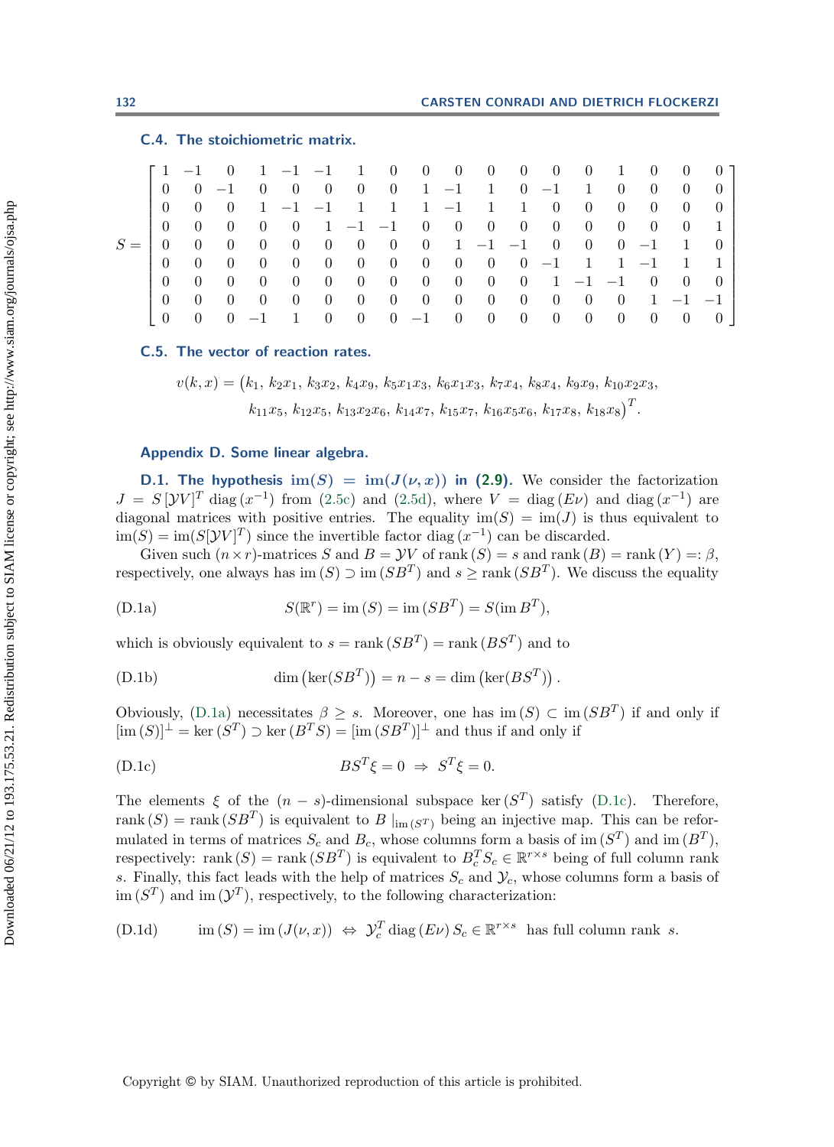# **C.4. The stoichiometric matrix.**

|       |                  | $11 - 1$         | $\bigcirc$       |                  | $1 -1 -1$ 1      |                                  |                                  |                                      |                     | $0 \quad 0 \quad 0 \quad 0$ |                                   | $\begin{array}{cc} 0 \end{array}$   | $\begin{array}{c} 0 \end{array}$ | $\hspace{0.6cm}0$                | $\begin{array}{c} 1 \end{array}$ | $\begin{matrix} 0 \end{matrix}$               | $\overline{0}$                | $\theta$         |
|-------|------------------|------------------|------------------|------------------|------------------|----------------------------------|----------------------------------|--------------------------------------|---------------------|-----------------------------|-----------------------------------|-------------------------------------|----------------------------------|----------------------------------|----------------------------------|-----------------------------------------------|-------------------------------|------------------|
|       | $\theta$         |                  | $0 -1$           | $\left( \right)$ | $\theta$         | $\begin{array}{c} 0 \end{array}$ | $\begin{array}{c} 0 \end{array}$ |                                      |                     |                             |                                   | $0 \t 1 \t -1 \t 1 \t 0 \t -1 \t 1$ |                                  |                                  | $\begin{array}{c} 0 \end{array}$ | $\overline{0}$                                | 0                             | $\left( \right)$ |
|       | $\theta$         | $\left( \right)$ | $\left( \right)$ | $\mathbf{1}$     |                  |                                  | $-1$ $-1$ 1                      | $\begin{array}{ccc} & 1 \end{array}$ |                     |                             |                                   | $1 -1$ 1 1                          | $\hspace{1.6cm}0$                | $\hspace{0.1em} 0$               | $\vert 0 \vert$                  | $\overline{0}$                                | 0                             | 0                |
|       | $\left( \right)$ | $\left( \right)$ | $\left( \right)$ | $\left( \right)$ | $\theta$         |                                  |                                  |                                      |                     | $1 -1 -1 0 0 0 0$           |                                   |                                     | $\begin{array}{c} 0 \end{array}$ | $\begin{array}{c} 0 \end{array}$ | $\overline{0}$                   | $\theta$                                      | $\overline{0}$                |                  |
| $S =$ | $\theta$         | $\left( \right)$ | $\theta$         | $\theta$         | $\overline{0}$   | $\overline{0}$                   | $\begin{array}{c} 0 \end{array}$ |                                      |                     |                             |                                   | $0 \t 0 \t 1 \t -1 \t -1 \t 0 \t 0$ |                                  |                                  |                                  | $0 \quad -1$                                  | $\blacksquare$                | $\left( \right)$ |
|       | $\left( \right)$ | $\theta$         | 0                | $\Omega$         | $\theta$         | - 0                              | $\begin{array}{c} 0 \end{array}$ |                                      |                     |                             |                                   |                                     |                                  |                                  |                                  | $0 \t 0 \t 0 \t 0 \t 0 \t -1 \t 1 \t 1 \t -1$ | $\mathbf{1}$                  |                  |
|       | $\theta$         | $\theta$         | $\theta$         | 0                | $\theta$         | 0                                | $\overline{0}$                   |                                      |                     |                             |                                   | $0 \t 0 \t 0 \t 0 \t 1$             |                                  |                                  |                                  | $-1$ $-1$ 0                                   | $\begin{matrix}0\end{matrix}$ | $\left( \right)$ |
|       | $\theta$         | 0                | $\theta$         | $\theta$         | $\left( \right)$ | $\theta$                         | $\vert 0 \vert$                  |                                      | $0 \quad 0 \quad 0$ |                             | $\begin{array}{cc} 0 \end{array}$ | $\begin{array}{c} 0 \end{array}$    | $\begin{array}{c} 0 \end{array}$ | $\hspace{0.6cm}0$                | $\overline{0}$                   | $\overline{1}$                                | $-1$ $-1$                     |                  |
|       | $\left( \right)$ | $\theta$         | $\theta$         | $-1$             |                  | $\theta$                         | $\vert 0 \vert$                  |                                      | $0 -1$              | $\overline{0}$              | $\vert 0 \vert$                   | $\theta$                            | $\overline{0}$                   | $\overline{0}$                   | $\vert 0 \vert$                  | $\vert 0 \vert$                               | $\theta$                      | $\theta$         |

#### **C.5. The vector of reaction rates.**

<span id="page-22-2"></span> $v(k, x) = (k_1, k_2x_1, k_3x_2, k_4x_9, k_5x_1x_3, k_6x_1x_3, k_7x_4, k_8x_4, k_9x_9, k_{10}x_2x_3,$  $k_{11}x_5, k_{12}x_5, k_{13}x_2x_6, k_{14}x_7, k_{15}x_7, k_{16}x_5x_6, k_{17}x_8, k_{18}x_8)^T$ .

#### <span id="page-22-0"></span>**Appendix D. Some linear algebra.**

<span id="page-22-1"></span>**D.1.** The hypothesis  $\text{im}(S) = \text{im}(J(\nu, x))$  in [\(2.9\)](#page-6-0). We consider the factorization  $J = S[VV]^T$  diag  $(x^{-1})$  from [\(2.5c\)](#page-5-0) and [\(2.5d\)](#page-5-0), where  $V = diag(E\nu)$  and diag  $(x^{-1})$  are<br>diagonal matrices with positive entries. The equality im  $(S) = im(L)$  is thus equivalent to diagonal matrices with positive entries. The equality  $\text{im}(S) = \text{im}(J)$  is thus equivalent to  $\lim(S) = \lim(S[\mathcal{Y}V]^T)$  since the invertible factor diag  $(x^{-1})$  can be discarded.<br>Civen such  $(x \times x)$  matrices  $S$  and  $B = \mathcal{Y}V$  of rank  $(S) = \varepsilon$  and rank  $(B)$ .

Given such  $(n \times r)$ -matrices S and  $B = \mathcal{Y}V$  of rank  $(S) = s$  and rank  $(B) = \text{rank}(Y) =: \beta$ , respectively, one always has im  $(S)$   $\supset$  im  $(SB^T)$  and  $s \geq \text{rank}(SB^T)$ . We discuss the equality

(D.1a) 
$$
S(\mathbb{R}^r) = \text{im}(S) = \text{im}(SB^T) = S(\text{im } B^T),
$$

which is obviously equivalent to  $s = \text{rank}(SB^T) = \text{rank}(BS^T)$  and to

(D.1b) 
$$
\dim\left(\ker(SB^T)\right) = n - s = \dim\left(\ker(BS^T)\right).
$$

Obviously,  $(D.1a)$  necessitates  $\beta \geq s$ . Moreover, one has  $\text{im}(S) \subset \text{im}(SB^T)$  if and only if  $\text{im}(S) \perp - \text{ker}(ST) \supset \text{ker}(BS^T) = \text{im}(SB^T) \perp$  and thus if and only if  $[\text{im}(S)]^{\perp} = \text{ker}(S^T) \supset \text{ker}(B^T S) = [\text{im}(S B^T)]^{\perp}$  and thus if and only if

(D.1c) 
$$
BS^T \xi = 0 \Rightarrow S^T \xi = 0.
$$

The elements  $\xi$  of the  $(n - s)$ -dimensional subspace ker  $(S<sup>T</sup>)$  satisfy [\(D.1c\)](#page-22-2). Therefore, rank  $(S)$  = rank  $(SB<sup>T</sup>)$  is equivalent to B  $\vert_{\text{im}(S<sup>T</sup>)}$  being an injective map. This can be reformulated in terms of matrices  $S_c$  and  $B_c$ , whose columns form a basis of im  $(S<sup>T</sup>)$  and im  $(B<sup>T</sup>)$ , respectively: rank  $(S) = \text{rank}(SB^T)$  is equivalent to  $B_c^T S_c \in \mathbb{R}^{r \times s}$  being of full column rank<br>c. Finally, this fact loads with the help of matrices  $S$  and  $\mathcal{Y}$ , whose columns form a basis of s. Finally, this fact leads with the help of matrices  $S_c$  and  $\mathcal{Y}_c$ , whose columns form a basis of im  $(S^T)$  and im  $(Y^T)$ , respectively, to the following characterization:

(D.1d) 
$$
\operatorname{im}(S) = \operatorname{im}(J(\nu, x)) \iff \mathcal{Y}_c^T \operatorname{diag}(E\nu) S_c \in \mathbb{R}^{r \times s} \text{ has full column rank } s.
$$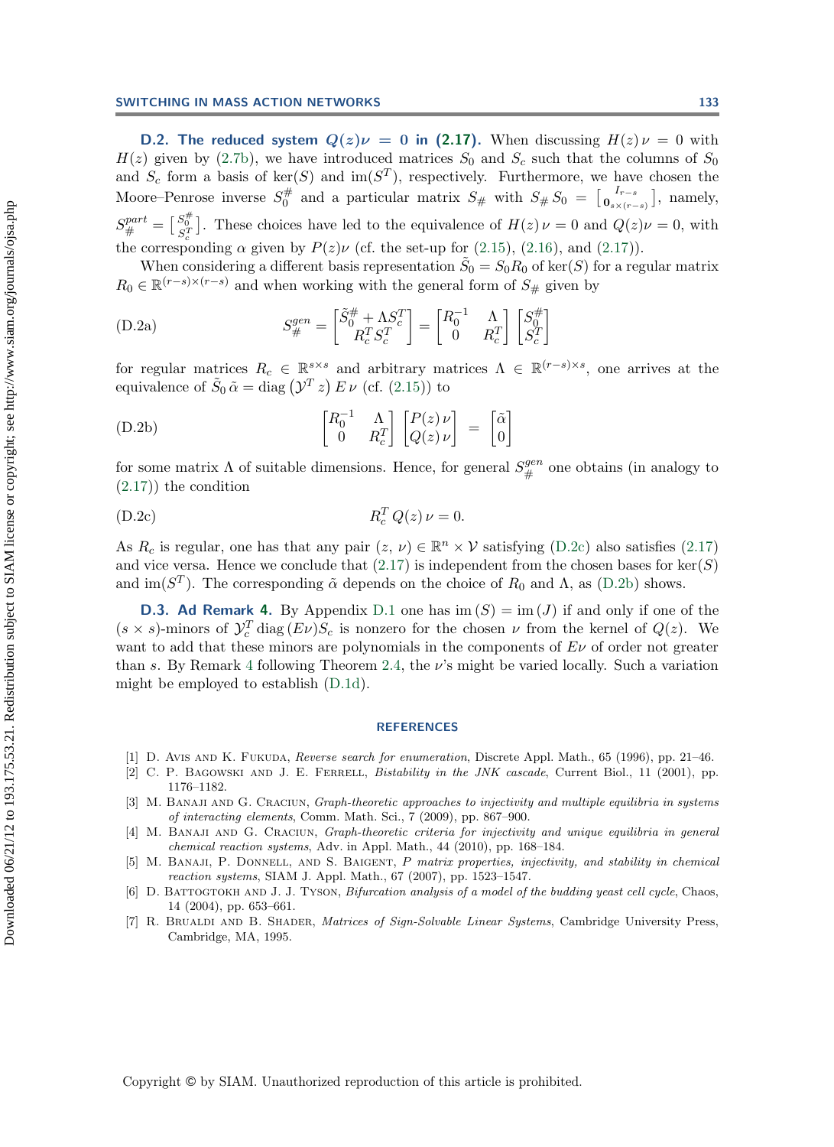<span id="page-23-6"></span>**D.2. The reduced system**  $Q(z)\nu = 0$  in [\(2.17\)](#page-8-1). When discussing  $H(z)\nu = 0$  with  $H(z)$  given by [\(2.7b\)](#page-5-1), we have introduced matrices  $S_0$  and  $S_c$  such that the columns of  $S_0$ and  $S_c$  form a basis of ker(S) and im(S<sup>T</sup>), respectively. Furthermore, we have chosen the Moore–Penrose inverse  $S_0^{\#}$  and a particular matrix  $S_{\#}$  with  $S_{\#} S_0 = \begin{bmatrix} I_{r-s} \\ \mathbf{0}_{s \times (r-s)} \end{bmatrix}$ , namely,  $S_{\#}^{part} = \begin{bmatrix} S_{\#}^{*} \\ S_{\#}^{T} \end{bmatrix}$ . These choices have led to the equivalence of  $H(z) \nu = 0$  and  $Q(z) \nu = 0$ , with the corresponding  $\alpha$  given by  $P(z)\nu$  (cf. the set-up for [\(2.15\)](#page-8-4), [\(2.16\)](#page-8-2), and [\(2.17\)](#page-8-1)).

When considering a different basis representation  $S_0 = S_0 R_0$  of ker(S) for a regular matrix  $R_0 \in \mathbb{R}^{(r-s)\times(r-s)}$  and when working with the general form of  $S_{\#}$  given by

<span id="page-23-9"></span>(D.2a) 
$$
S_{\#}^{gen} = \begin{bmatrix} \tilde{S}_{0}^{\#} + \Lambda S_{c}^{T} \\ R_{c}^{T} S_{c}^{T} \end{bmatrix} = \begin{bmatrix} R_{0}^{-1} & \Lambda \\ 0 & R_{c}^{T} \end{bmatrix} \begin{bmatrix} S_{0}^{\#} \\ S_{c}^{T} \end{bmatrix}
$$

for regular matrices  $R_c \in \mathbb{R}^{s \times s}$  and arbitrary matrices  $\Lambda \in \mathbb{R}^{(r-s)\times s}$ , one arrives at the equivalence of  $\tilde{S}_0 \tilde{\alpha} = \text{diag}(\mathcal{Y}^T z) E \nu$  (cf. [\(2.15\)](#page-8-4)) to

(D.2b) 
$$
\begin{bmatrix} R_0^{-1} & \Lambda \\ 0 & R_c^T \end{bmatrix} \begin{bmatrix} P(z) \nu \\ Q(z) \nu \end{bmatrix} = \begin{bmatrix} \tilde{\alpha} \\ 0 \end{bmatrix}
$$

for some matrix  $\Lambda$  of suitable dimensions. Hence, for general  $S_{\#}^{gen}$  one obtains (in analogy to  $(2.17)$ ) the condition [\(2.17\)](#page-8-1)) the condition

$$
R_c^T Q(z) \nu = 0.
$$
 (D.2c)

As  $R_c$  is regular, one has that any pair  $(z, \nu) \in \mathbb{R}^n \times \mathcal{V}$  satisfying [\(D.2c\)](#page-23-9) also satisfies [\(2.17\)](#page-8-1) and vice versa. Hence we conclude that  $(2.17)$  is independent from the chosen bases for ker $(S)$ and im( $S<sup>T</sup>$ ). The corresponding  $\tilde{\alpha}$  depends on the choice of  $R_0$  and  $\Lambda$ , as [\(D.2b\)](#page-23-9) shows.

<span id="page-23-5"></span>**D.3. Ad Remark [4.](#page-9-1)** By Appendix [D.1](#page-22-1) one has  $\text{im}(S) = \text{im}(J)$  if and only if one of the  $(s \times s)$ -minors of  $\mathcal{Y}_c^T$  diag  $(E\nu)S_c$  is nonzero for the chosen  $\nu$  from the kernel of  $Q(z)$ . We want to add that these minors are polynomials in the components of  $E\nu$  of order not greater than s. By Remark [4](#page-9-1) following Theorem [2.4,](#page-8-0) the  $\nu$ 's might be varied locally. Such a variation might be employed to establish [\(D.1d\)](#page-22-2).

#### **REFERENCES**

- <span id="page-23-8"></span><span id="page-23-0"></span>[1] D. Avis and K. Fukuda, Reverse search for enumeration, Discrete Appl. Math., 65 (1996), pp. 21–46.
- [2] C. P. BAGOWSKI AND J. E. FERRELL, *Bistability in the JNK cascade*, Current Biol., 11 (2001), pp. 1176–1182.
- <span id="page-23-2"></span>[3] M. Banaji and G. Craciun, Graph-theoretic approaches to injectivity and multiple equilibria in systems of interacting elements, Comm. Math. Sci., 7 (2009), pp. 867–900.
- <span id="page-23-3"></span>[4] M. BANAJI AND G. CRACIUN, Graph-theoretic criteria for injectivity and unique equilibria in general chemical reaction systems, Adv. in Appl. Math., 44 (2010), pp. 168–184.
- <span id="page-23-4"></span>[5] M. BANAJI, P. DONNELL, AND S. BAIGENT, P matrix properties, injectivity, and stability in chemical reaction systems, SIAM J. Appl. Math., 67 (2007), pp. 1523–1547.
- <span id="page-23-1"></span>[6] D. BATTOGTOKH AND J. J. TYSON, Bifurcation analysis of a model of the budding yeast cell cycle, Chaos, 14 (2004), pp. 653–661.
- <span id="page-23-7"></span>[7] R. BRUALDI AND B. SHADER, *Matrices of Sign-Solvable Linear Systems*, Cambridge University Press, Cambridge, MA, 1995.